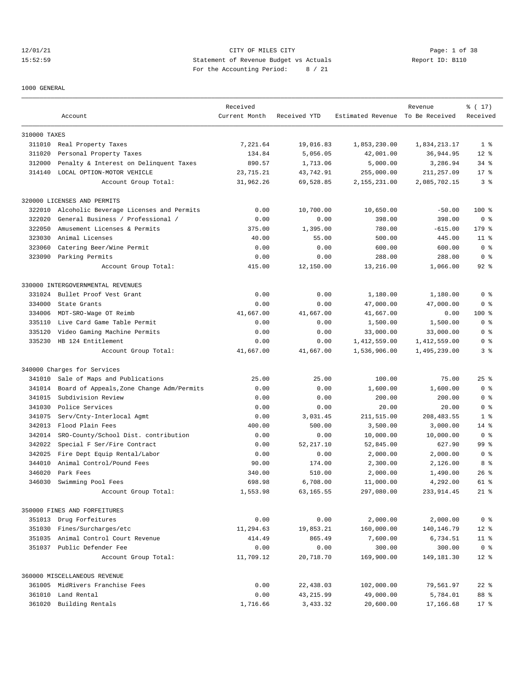12/01/21 CITY OF MILES CITY Page: 1 of 38 15:52:59 Statement of Revenue Budget vs Actuals Report ID: B110 For the Accounting Period: 8 / 21

#### 1000 GENERAL

|              |                                           | Received      |              |                                  | Revenue      | % (17)         |
|--------------|-------------------------------------------|---------------|--------------|----------------------------------|--------------|----------------|
|              | Account                                   | Current Month | Received YTD | Estimated Revenue To Be Received |              | Received       |
| 310000 TAXES |                                           |               |              |                                  |              |                |
|              | 311010 Real Property Taxes                | 7,221.64      | 19,016.83    | 1,853,230.00                     | 1,834,213.17 | 1 <sup>8</sup> |
| 311020       | Personal Property Taxes                   | 134.84        | 5,056.05     | 42,001.00                        | 36,944.95    | $12*$          |
| 312000       | Penalty & Interest on Delinquent Taxes    | 890.57        | 1,713.06     | 5,000.00                         | 3,286.94     | $34$ $%$       |
| 314140       | LOCAL OPTION-MOTOR VEHICLE                | 23,715.21     | 43,742.91    | 255,000.00                       | 211,257.09   | $17*$          |
|              | Account Group Total:                      | 31,962.26     | 69,528.85    | 2,155,231.00                     | 2,085,702.15 | 3 <sup>8</sup> |
|              | 320000 LICENSES AND PERMITS               |               |              |                                  |              |                |
| 322010       | Alcoholic Beverage Licenses and Permits   | 0.00          | 10,700.00    | 10,650.00                        | $-50.00$     | $100$ %        |
| 322020       | General Business / Professional /         | 0.00          | 0.00         | 398.00                           | 398.00       | 0 <sup>8</sup> |
| 322050       | Amusement Licenses & Permits              | 375.00        | 1,395.00     | 780.00                           | $-615.00$    | 179 %          |
| 323030       | Animal Licenses                           | 40.00         | 55.00        | 500.00                           | 445.00       | $11$ %         |
| 323060       | Catering Beer/Wine Permit                 | 0.00          | 0.00         | 600.00                           | 600.00       | 0 <sup>8</sup> |
|              | 323090 Parking Permits                    | 0.00          | 0.00         | 288.00                           | 288.00       | 0 <sup>8</sup> |
|              | Account Group Total:                      | 415.00        | 12,150.00    | 13,216.00                        | 1,066.00     | $92$ $%$       |
|              | 330000 INTERGOVERNMENTAL REVENUES         |               |              |                                  |              |                |
| 331024       | Bullet Proof Vest Grant                   | 0.00          | 0.00         | 1,180.00                         | 1,180.00     | 0 <sup>8</sup> |
| 334000       | State Grants                              | 0.00          | 0.00         | 47,000.00                        | 47,000.00    | 0 <sup>8</sup> |
| 334006       | MDT-SRO-Wage OT Reimb                     | 41,667.00     | 41,667.00    | 41,667.00                        | 0.00         | $100$ %        |
| 335110       | Live Card Game Table Permit               | 0.00          | 0.00         | 1,500.00                         | 1,500.00     | 0 <sup>8</sup> |
| 335120       | Video Gaming Machine Permits              | 0.00          | 0.00         | 33,000.00                        | 33,000.00    | 0 <sup>8</sup> |
| 335230       | HB 124 Entitlement                        | 0.00          | 0.00         | 1,412,559.00                     | 1,412,559.00 | 0 %            |
|              | Account Group Total:                      | 41,667.00     | 41,667.00    | 1,536,906.00                     | 1,495,239.00 | 3 <sup>°</sup> |
|              | 340000 Charges for Services               |               |              |                                  |              |                |
| 341010       | Sale of Maps and Publications             | 25.00         | 25.00        | 100.00                           | 75.00        | $25$ %         |
| 341014       | Board of Appeals, Zone Change Adm/Permits | 0.00          | 0.00         | 1,600.00                         | 1,600.00     | 0 <sup>8</sup> |
| 341015       | Subdivision Review                        | 0.00          | 0.00         | 200.00                           | 200.00       | 0 <sup>8</sup> |
| 341030       | Police Services                           | 0.00          | 0.00         | 20.00                            | 20.00        | 0 <sup>8</sup> |
| 341075       | Serv/Cnty-Interlocal Agmt                 | 0.00          | 3,031.45     | 211,515.00                       | 208, 483.55  | 1 <sup>8</sup> |
| 342013       | Flood Plain Fees                          | 400.00        | 500.00       | 3,500.00                         | 3,000.00     | $14*$          |
| 342014       | SRO-County/School Dist. contribution      | 0.00          | 0.00         | 10,000.00                        | 10,000.00    | 0 <sup>8</sup> |
| 342022       | Special F Ser/Fire Contract               | 0.00          | 52, 217.10   | 52,845.00                        | 627.90       | 99 %           |
| 342025       | Fire Dept Equip Rental/Labor              | 0.00          | 0.00         | 2,000.00                         | 2,000.00     | 0 <sup>8</sup> |
| 344010       | Animal Control/Pound Fees                 | 90.00         | 174.00       | 2,300.00                         | 2,126.00     | 8 %            |
| 346020       | Park Fees                                 | 340.00        | 510.00       | 2,000.00                         | 1,490.00     | $26$ %         |
| 346030       | Swimming Pool Fees                        | 698.98        | 6,708.00     | 11,000.00                        | 4,292.00     | $61$ $%$       |
|              | Account Group Total:                      | 1,553.98      | 63,165.55    | 297,080.00                       | 233,914.45   | $21$ %         |
|              | 350000 FINES AND FORFEITURES              |               |              |                                  |              |                |
|              | 351013 Drug Forfeitures                   | 0.00          | 0.00         | 2,000.00                         | 2,000.00     | 0 <sup>8</sup> |
| 351030       | Fines/Surcharges/etc                      | 11,294.63     | 19,853.21    | 160,000.00                       | 140,146.79   | $12*$          |
| 351035       | Animal Control Court Revenue              | 414.49        | 865.49       | 7,600.00                         | 6,734.51     | $11$ %         |
|              | 351037 Public Defender Fee                | 0.00          | 0.00         | 300.00                           | 300.00       | 0 <sup>8</sup> |
|              | Account Group Total:                      | 11,709.12     | 20,718.70    | 169,900.00                       | 149,181.30   | $12*$          |
|              | 360000 MISCELLANEOUS REVENUE              |               |              |                                  |              |                |
|              | 361005 MidRivers Franchise Fees           | 0.00          | 22,438.03    | 102,000.00                       | 79,561.97    | $22$ %         |
| 361010       | Land Rental                               | 0.00          | 43, 215.99   | 49,000.00                        | 5,784.01     | 88 %           |
| 361020       | Building Rentals                          | 1,716.66      | 3,433.32     | 20,600.00                        | 17,166.68    | $17*$          |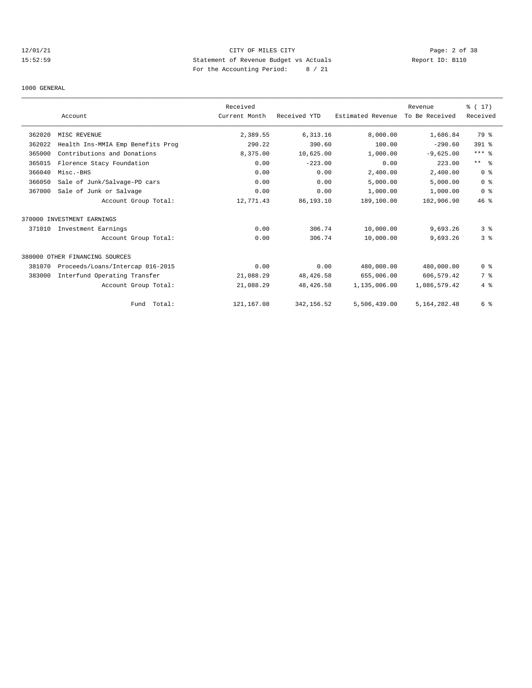## 12/01/21 CITY OF MILES CITY Page: 2 of 38 15:52:59 Statement of Revenue Budget vs Actuals Report ID: B110 For the Accounting Period: 8 / 21

### 1000 GENERAL

|        |                                   | Received      |              |                   | Revenue        | % (17)         |
|--------|-----------------------------------|---------------|--------------|-------------------|----------------|----------------|
|        | Account                           | Current Month | Received YTD | Estimated Revenue | To Be Received | Received       |
| 362020 | MISC REVENUE                      | 2,389.55      | 6, 313.16    | 8,000.00          | 1,686.84       | 79 %           |
| 362022 | Health Ins-MMIA Emp Benefits Prog | 290.22        | 390.60       | 100.00            | $-290.60$      | 391 %          |
| 365000 | Contributions and Donations       | 8,375.00      | 10,625.00    | 1,000.00          | $-9,625.00$    | $***$ $_{8}$   |
| 365015 | Florence Stacy Foundation         | 0.00          | $-223.00$    | 0.00              | 223.00         | $***$ $ -$     |
| 366040 | Misc.-BHS                         | 0.00          | 0.00         | 2,400.00          | 2,400.00       | 0 <sup>8</sup> |
| 366050 | Sale of Junk/Salvage-PD cars      | 0.00          | 0.00         | 5,000.00          | 5,000.00       | 0 <sup>8</sup> |
| 367000 | Sale of Junk or Salvage           | 0.00          | 0.00         | 1,000.00          | 1,000.00       | 0 <sup>8</sup> |
|        | Account Group Total:              | 12,771.43     | 86,193.10    | 189,100.00        | 102,906.90     | $46*$          |
|        | 370000 INVESTMENT EARNINGS        |               |              |                   |                |                |
| 371010 | Investment Earnings               | 0.00          | 306.74       | 10,000.00         | 9,693.26       | 3 <sup>8</sup> |
|        | Account Group Total:              | 0.00          | 306.74       | 10,000.00         | 9,693.26       | 3 <sup>8</sup> |
|        | 380000 OTHER FINANCING SOURCES    |               |              |                   |                |                |
| 381070 | Proceeds/Loans/Intercap 016-2015  | 0.00          | 0.00         | 480,000.00        | 480,000.00     | 0 <sup>8</sup> |
| 383000 | Interfund Operating Transfer      | 21,088.29     | 48,426.58    | 655,006.00        | 606,579.42     | 7 %            |
|        | Account Group Total:              | 21,088.29     | 48, 426.58   | 1,135,006.00      | 1,086,579.42   | 4%             |
|        | Fund Total:                       | 121, 167.08   | 342,156.52   | 5,506,439.00      | 5,164,282.48   | 6 %            |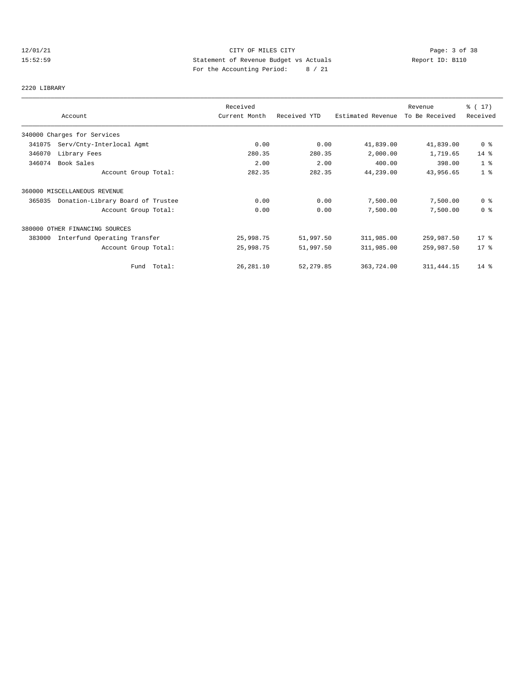## 12/01/21 CITY OF MILES CITY Page: 3 of 38 15:52:59 Statement of Revenue Budget vs Actuals Report ID: B110 For the Accounting Period: 8 / 21

# 2220 LIBRARY

|        |                                   | Received      |              |                   | Revenue        | % (17)         |
|--------|-----------------------------------|---------------|--------------|-------------------|----------------|----------------|
|        | Account                           | Current Month | Received YTD | Estimated Revenue | To Be Received | Received       |
|        | 340000 Charges for Services       |               |              |                   |                |                |
| 341075 | Serv/Cnty-Interlocal Agmt         | 0.00          | 0.00         | 41,839.00         | 41,839.00      | 0 %            |
| 346070 | Library Fees                      | 280.35        | 280.35       | 2,000.00          | 1,719.65       | $14$ %         |
| 346074 | Book Sales                        | 2.00          | 2.00         | 400.00            | 398.00         | 1 <sup>8</sup> |
|        | Account Group Total:              | 282.35        | 282.35       | 44,239.00         | 43,956.65      | 1 <sup>8</sup> |
|        | 360000 MISCELLANEOUS REVENUE      |               |              |                   |                |                |
| 365035 | Donation-Library Board of Trustee | 0.00          | 0.00         | 7,500.00          | 7,500.00       | 0 <sup>8</sup> |
|        | Account Group Total:              | 0.00          | 0.00         | 7,500.00          | 7,500.00       | 0 <sup>8</sup> |
|        | 380000 OTHER FINANCING SOURCES    |               |              |                   |                |                |
| 383000 | Interfund Operating Transfer      | 25,998.75     | 51,997.50    | 311,985.00        | 259,987.50     | $17*$          |
|        | Account Group Total:              | 25,998.75     | 51,997.50    | 311,985.00        | 259,987.50     | $17*$          |
|        | Fund Total:                       | 26, 281.10    | 52, 279.85   | 363,724.00        | 311, 444.15    | $14*$          |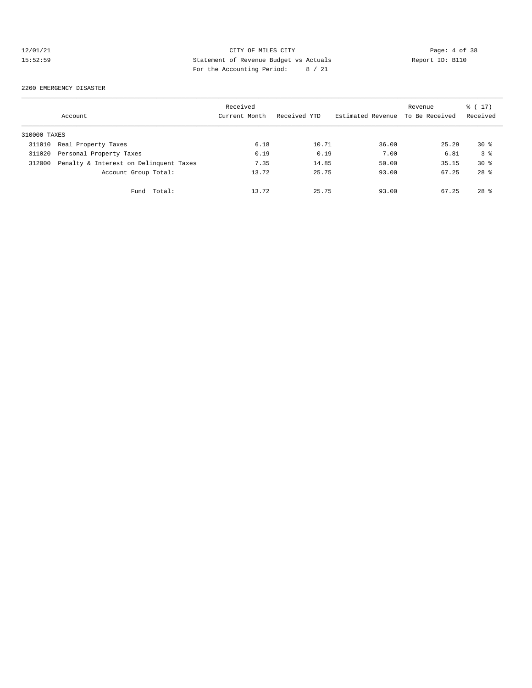## 12/01/21 CITY OF MILES CITY Page: 4 of 38 15:52:59 Statement of Revenue Budget vs Actuals Report ID: B110 For the Accounting Period: 8 / 21

2260 EMERGENCY DISASTER

|              | Account                                | Received<br>Current Month | Received YTD | Estimated Revenue | Revenue<br>To Be Received | $\frac{1}{6}$ (17)<br>Received |
|--------------|----------------------------------------|---------------------------|--------------|-------------------|---------------------------|--------------------------------|
| 310000 TAXES |                                        |                           |              |                   |                           |                                |
| 311010       | Real Property Taxes                    | 6.18                      | 10.71        | 36.00             | 25.29                     | $30*$                          |
| 311020       | Personal Property Taxes                | 0.19                      | 0.19         | 7.00              | 6.81                      | 3 <sup>8</sup>                 |
| 312000       | Penalty & Interest on Delinquent Taxes | 7.35                      | 14.85        | 50.00             | 35.15                     | $30*$                          |
|              | Account Group Total:                   | 13.72                     | 25.75        | 93.00             | 67.25                     | $28*$                          |
|              | Fund Total:                            | 13.72                     | 25.75        | 93.00             | 67.25                     | $28*$                          |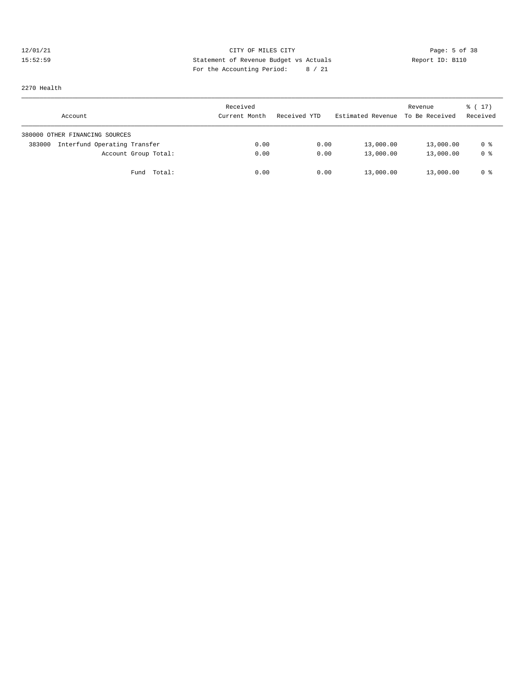## 12/01/21 CITY OF MILES CITY CONTRIBUTE CITY Page: 5 of 38<br>15:52:59 Statement of Revenue Budget vs Actuals Report ID: B110 15:52:59 Statement of Revenue Budget vs Actuals Report ID: B110 For the Accounting Period: 8 / 21

2270 Health

| Account                                | Received<br>Current Month | Received YTD | Estimated Revenue To Be Received | Revenue   | $\frac{1}{6}$ ( 17 )<br>Received |
|----------------------------------------|---------------------------|--------------|----------------------------------|-----------|----------------------------------|
| 380000 OTHER FINANCING SOURCES         |                           |              |                                  |           |                                  |
| Interfund Operating Transfer<br>383000 | 0.00                      | 0.00         | 13,000.00                        | 13,000.00 | 0 %                              |
| Account Group Total:                   | 0.00                      | 0.00         | 13,000.00                        | 13,000.00 | 0 %                              |
| Fund Total:                            | 0.00                      | 0.00         | 13,000.00                        | 13,000.00 | 0 %                              |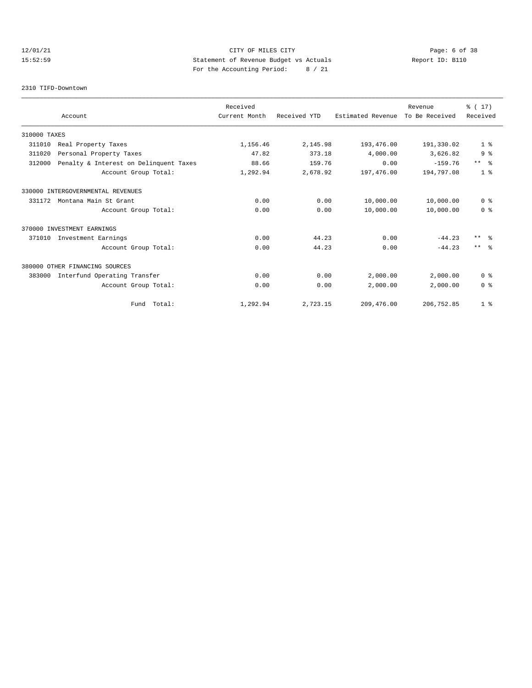## 12/01/21 CITY OF MILES CITY Page: 6 of 38 15:52:59 Statement of Revenue Budget vs Actuals Report ID: B110 For the Accounting Period: 8 / 21

### 2310 TIFD-Downtown

|              |                                        | Received      |              |                   | Revenue        | % (17)          |
|--------------|----------------------------------------|---------------|--------------|-------------------|----------------|-----------------|
|              | Account                                | Current Month | Received YTD | Estimated Revenue | To Be Received | Received        |
| 310000 TAXES |                                        |               |              |                   |                |                 |
| 311010       | Real Property Taxes                    | 1,156.46      | 2,145.98     | 193,476.00        | 191,330.02     | 1 <sup>8</sup>  |
| 311020       | Personal Property Taxes                | 47.82         | 373.18       | 4,000.00          | 3,626.82       | 9 <sup>8</sup>  |
| 312000       | Penalty & Interest on Delinquent Taxes | 88.66         | 159.76       | 0.00              | $-159.76$      | $***$ $ -$      |
|              | Account Group Total:                   | 1,292.94      | 2,678.92     | 197,476.00        | 194,797.08     | 1 <sup>8</sup>  |
|              | 330000 INTERGOVERNMENTAL REVENUES      |               |              |                   |                |                 |
| 331172       | Montana Main St Grant                  | 0.00          | 0.00         | 10,000.00         | 10,000.00      | 0 <sup>8</sup>  |
|              | Account Group Total:                   | 0.00          | 0.00         | 10,000.00         | 10,000.00      | 0 <sup>8</sup>  |
|              | 370000 INVESTMENT EARNINGS             |               |              |                   |                |                 |
| 371010       | Investment Earnings                    | 0.00          | 44.23        | 0.00              | $-44.23$       | $***$ $\approx$ |
|              | Account Group Total:                   | 0.00          | 44.23        | 0.00              | $-44.23$       | $***$ $\approx$ |
|              | 380000 OTHER FINANCING SOURCES         |               |              |                   |                |                 |
| 383000       | Interfund Operating Transfer           | 0.00          | 0.00         | 2,000.00          | 2,000.00       | 0 <sup>8</sup>  |
|              | Account Group Total:                   | 0.00          | 0.00         | 2,000.00          | 2,000.00       | 0 <sup>8</sup>  |
|              | Fund Total:                            | 1,292.94      | 2,723.15     | 209,476.00        | 206,752.85     | 1 <sup>8</sup>  |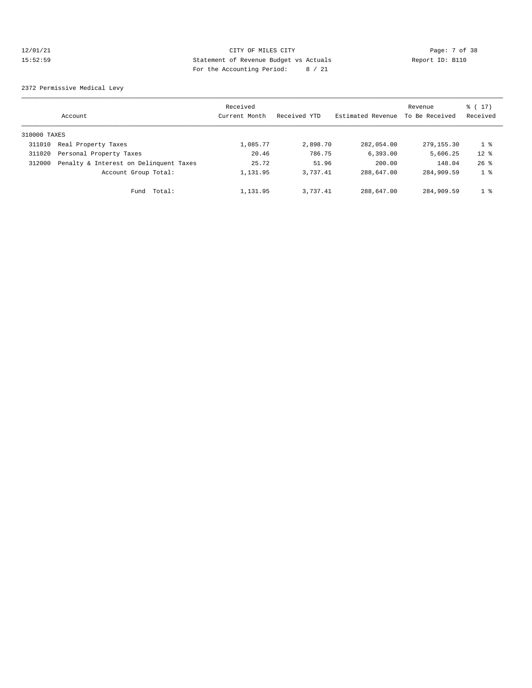## 12/01/21 CITY OF MILES CITY Page: 7 of 38 15:52:59 Statement of Revenue Budget vs Actuals<br>15:52:59 Statement of Revenue Budget vs Actuals Report ID: B110 For the Accounting Period: 8 / 21

2372 Permissive Medical Levy

|              | Account                                | Received<br>Current Month | Received YTD | Estimated Revenue | Revenue<br>To Be Received | $\frac{1}{6}$ (17)<br>Received |
|--------------|----------------------------------------|---------------------------|--------------|-------------------|---------------------------|--------------------------------|
| 310000 TAXES |                                        |                           |              |                   |                           |                                |
| 311010       | Real Property Taxes                    | 1,085.77                  | 2,898.70     | 282,054.00        | 279,155.30                | 1 <sup>°</sup>                 |
| 311020       | Personal Property Taxes                | 20.46                     | 786.75       | 6.393.00          | 5,606.25                  | $12*$                          |
| 312000       | Penalty & Interest on Delinquent Taxes | 25.72                     | 51.96        | 200.00            | 148.04                    | $26$ $%$                       |
|              | Account Group Total:                   | 1,131.95                  | 3.737.41     | 288,647.00        | 284,909.59                | 1 <sup>8</sup>                 |
|              | Total:<br>Fund                         | 1,131.95                  | 3.737.41     | 288,647.00        | 284,909.59                | 1 <sup>°</sup>                 |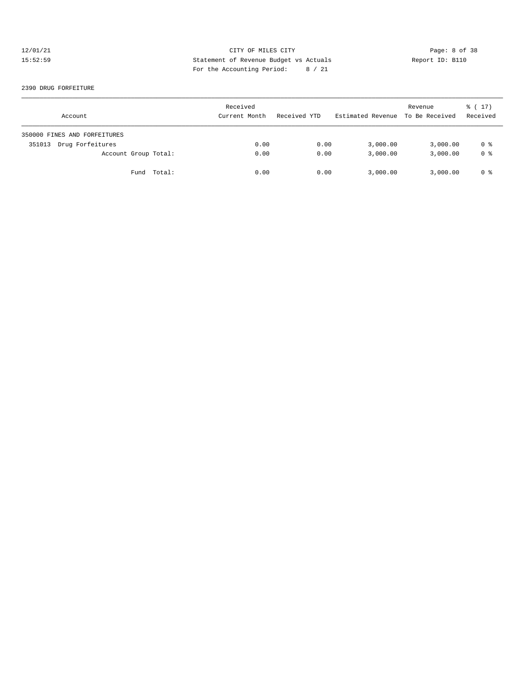## 12/01/21 CITY OF MILES CITY CONTRIBUTE CITY Page: 8 of 38<br>15:52:59 Statement of Revenue Budget vs Actuals Report ID: B110 15:52:59 Statement of Revenue Budget vs Actuals Report ID: B110 For the Accounting Period: 8 / 21

### 2390 DRUG FORFEITURE

| Account                      | Received<br>Current Month | Received YTD | Estimated Revenue To Be Received | Revenue  | $\frac{1}{6}$ (17)<br>Received |
|------------------------------|---------------------------|--------------|----------------------------------|----------|--------------------------------|
| 350000 FINES AND FORFEITURES |                           |              |                                  |          |                                |
| Drug Forfeitures<br>351013   | 0.00                      | 0.00         | 3,000.00                         | 3,000.00 | 0 %                            |
| Account Group Total:         | 0.00                      | 0.00         | 3,000.00                         | 3,000.00 | 0 <sup>8</sup>                 |
| Fund Total:                  | 0.00                      | 0.00         | 3,000.00                         | 3,000.00 | 0 %                            |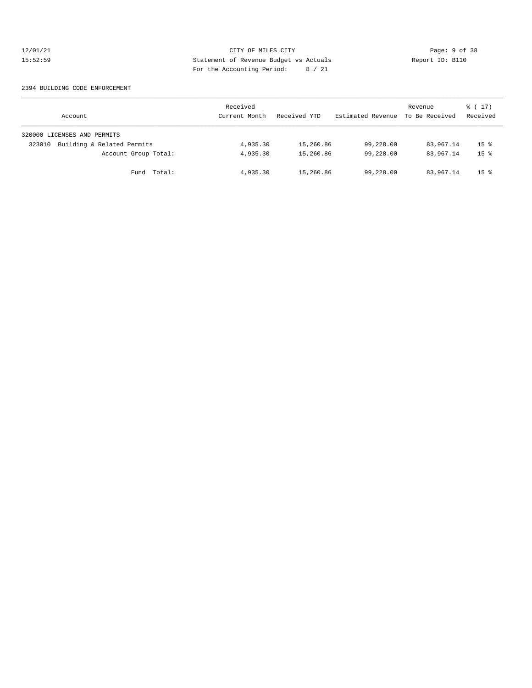## 12/01/21 CITY OF MILES CITY CONTRIBUTE CITY Page: 9 of 38<br>15:52:59 Statement of Revenue Budget vs Actuals Report ID: B110 15:52:59 Statement of Revenue Budget vs Actuals Report ID: B110 For the Accounting Period: 8 / 21

### 2394 BUILDING CODE ENFORCEMENT

| Account                              | Received<br>Current Month | Received YTD | Estimated Revenue To Be Received | Revenue   | $\frac{1}{6}$ (17)<br>Received |
|--------------------------------------|---------------------------|--------------|----------------------------------|-----------|--------------------------------|
| 320000 LICENSES AND PERMITS          |                           |              |                                  |           |                                |
| Building & Related Permits<br>323010 | 4,935.30                  | 15,260.86    | 99,228.00                        | 83,967.14 | 15 <sup>8</sup>                |
| Account Group Total:                 | 4,935.30                  | 15,260.86    | 99,228.00                        | 83,967.14 | $15*$                          |
| Fund Total:                          | 4,935.30                  | 15,260.86    | 99,228.00                        | 83,967.14 | 15 <sup>8</sup>                |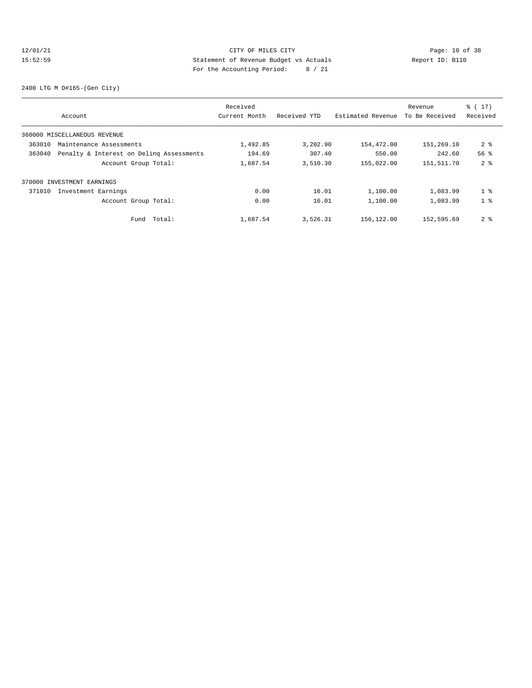## 12/01/21 Page: 10 of 38 CITY OF MILES CITY CHECK PAGE: 10 of 38 15:52:59 Statement of Revenue Budget vs Actuals Report ID: B110 For the Accounting Period: 8 / 21

2400 LTG M D#165-(Gen City)

|        |                                          | Received      |              |                   | Revenue        | $\frac{1}{6}$ (17) |
|--------|------------------------------------------|---------------|--------------|-------------------|----------------|--------------------|
|        | Account                                  | Current Month | Received YTD | Estimated Revenue | To Be Received | Received           |
|        | 360000 MISCELLANEOUS REVENUE             |               |              |                   |                |                    |
| 363010 | Maintenance Assessments                  | 1,492.85      | 3,202.90     | 154,472.00        | 151,269.10     | 2 <sub>8</sub>     |
| 363040 | Penalty & Interest on Deling Assessments | 194.69        | 307.40       | 550.00            | 242.60         | 56 <sup>8</sup>    |
|        | Account Group Total:                     | 1,687.54      | 3,510.30     | 155,022.00        | 151,511.70     | 2 <sub>8</sub>     |
|        | 370000 INVESTMENT EARNINGS               |               |              |                   |                |                    |
| 371010 | Investment Earnings                      | 0.00          | 16.01        | 1,100.00          | 1,083.99       | 1 <sup>8</sup>     |
|        | Account Group Total:                     | 0.00          | 16.01        | 1,100.00          | 1,083.99       | 1 <sup>8</sup>     |
|        | Total:<br>Fund                           | 1,687.54      | 3,526.31     | 156,122.00        | 152,595.69     | 2 <sup>8</sup>     |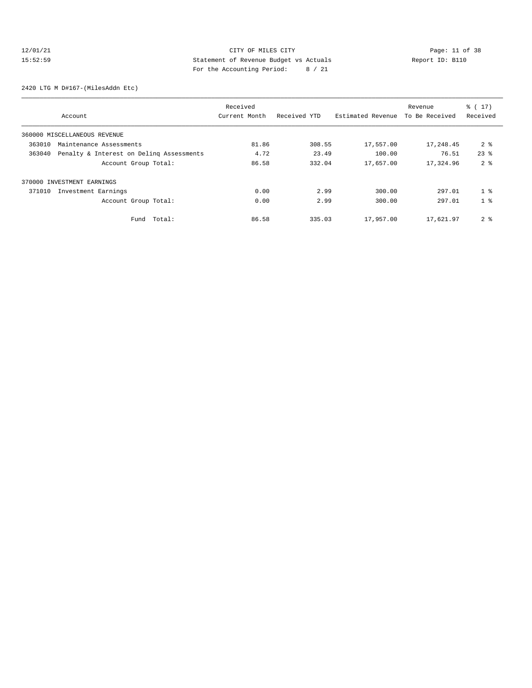## 12/01/21 Page: 11 of 38 CITY OF MILES CITY 15:52:59 Statement of Revenue Budget vs Actuals Report ID: B110 For the Accounting Period: 8 / 21

2420 LTG M D#167-(MilesAddn Etc)

| Account                                            | Received<br>Current Month | Received YTD | Estimated Revenue | Revenue<br>To Be Received | $\frac{1}{6}$ (17)<br>Received |
|----------------------------------------------------|---------------------------|--------------|-------------------|---------------------------|--------------------------------|
| 360000 MISCELLANEOUS REVENUE                       |                           |              |                   |                           |                                |
| 363010<br>Maintenance Assessments                  | 81.86                     | 308.55       | 17,557.00         | 17,248.45                 | 2 <sub>8</sub>                 |
| 363040<br>Penalty & Interest on Deling Assessments | 4.72                      | 23.49        | 100.00            | 76.51                     | $23*$                          |
| Account Group Total:                               | 86.58                     | 332.04       | 17,657.00         | 17,324.96                 | 2 <sup>8</sup>                 |
| 370000 INVESTMENT EARNINGS                         |                           |              |                   |                           |                                |
| 371010<br>Investment Earnings                      | 0.00                      | 2.99         | 300.00            | 297.01                    | 1 <sup>8</sup>                 |
| Account Group Total:                               | 0.00                      | 2.99         | 300.00            | 297.01                    | 1 <sup>8</sup>                 |
| Total:<br>Fund                                     | 86.58                     | 335.03       | 17,957.00         | 17,621.97                 | 2 <sub>8</sub>                 |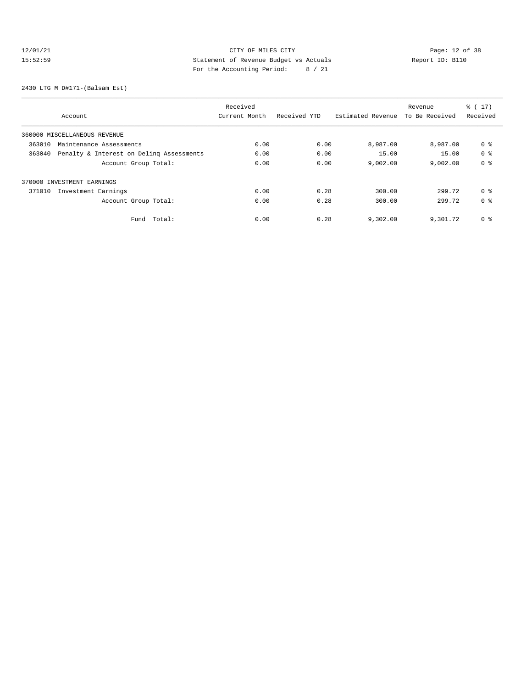## 12/01/21 Page: 12 of 38 CITY OF MILES CITY 15:52:59 Statement of Revenue Budget vs Actuals Report ID: B110 For the Accounting Period: 8 / 21

2430 LTG M D#171-(Balsam Est)

| Account                                            | Received<br>Current Month | Received YTD | Estimated Revenue | Revenue<br>To Be Received | $\frac{1}{6}$ (17)<br>Received |
|----------------------------------------------------|---------------------------|--------------|-------------------|---------------------------|--------------------------------|
| 360000 MISCELLANEOUS REVENUE                       |                           |              |                   |                           |                                |
| 363010<br>Maintenance Assessments                  | 0.00                      | 0.00         | 8,987.00          | 8,987.00                  | 0 %                            |
| 363040<br>Penalty & Interest on Deling Assessments | 0.00                      | 0.00         | 15.00             | 15.00                     | 0 %                            |
| Account Group Total:                               | 0.00                      | 0.00         | 9,002.00          | 9,002.00                  | 0 %                            |
| 370000 INVESTMENT EARNINGS                         |                           |              |                   |                           |                                |
| 371010<br>Investment Earnings                      | 0.00                      | 0.28         | 300.00            | 299.72                    | 0 %                            |
| Account Group Total:                               | 0.00                      | 0.28         | 300.00            | 299.72                    | 0 %                            |
| Total:<br>Fund                                     | 0.00                      | 0.28         | 9,302.00          | 9,301.72                  | 0 %                            |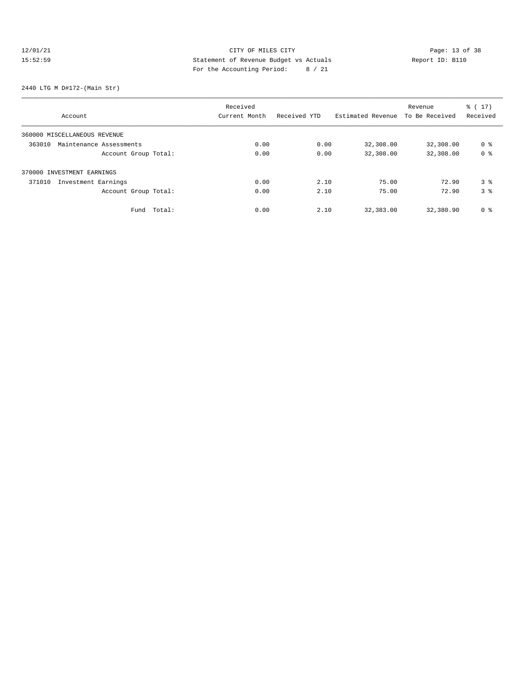# 12/01/21 Page: 13 of 38 CITY OF MILES CITY CHANGES CONTROLLED Page: 13 of 38 15:52:59 Statement of Revenue Budget vs Actuals Report ID: B110 For the Accounting Period: 8 / 21

### 2440 LTG M D#172-(Main Str)

|                                   |             | Received      |              |                   | Revenue        | $\frac{1}{6}$ ( 17 ) |
|-----------------------------------|-------------|---------------|--------------|-------------------|----------------|----------------------|
| Account                           |             | Current Month | Received YTD | Estimated Revenue | To Be Received | Received             |
| 360000 MISCELLANEOUS REVENUE      |             |               |              |                   |                |                      |
| 363010<br>Maintenance Assessments |             | 0.00          | 0.00         | 32,308.00         | 32,308.00      | 0 %                  |
| Account Group Total:              |             | 0.00          | 0.00         | 32,308.00         | 32,308.00      | 0 <sup>8</sup>       |
| 370000 INVESTMENT EARNINGS        |             |               |              |                   |                |                      |
| Investment Earnings<br>371010     |             | 0.00          | 2.10         | 75.00             | 72.90          | 3 <sup>8</sup>       |
| Account Group Total:              |             | 0.00          | 2.10         | 75.00             | 72.90          | 3 <sup>8</sup>       |
|                                   | Fund Total: | 0.00          | 2.10         | 32,383.00         | 32,380.90      | 0 %                  |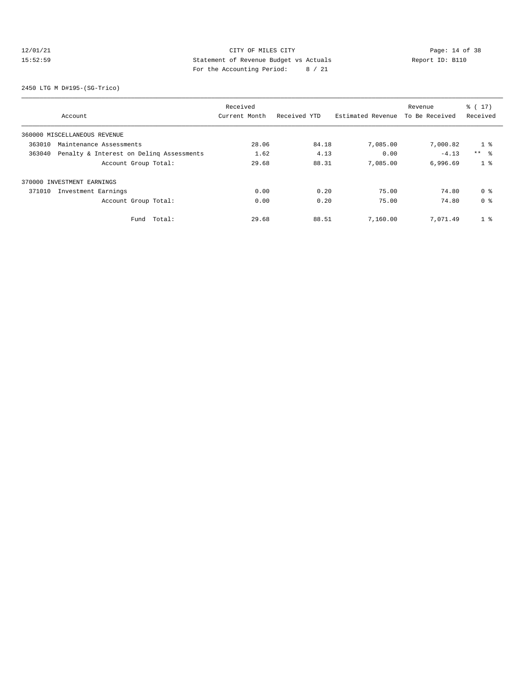## 12/01/21 Page: 14 of 38 15:52:59 Statement of Revenue Budget vs Actuals Report ID: B110 For the Accounting Period: 8 / 21

2450 LTG M D#195-(SG-Trico)

| Account                                            | Received<br>Current Month | Received YTD | Estimated Revenue | Revenue<br>To Be Received | $\frac{1}{6}$ (17)<br>Received |
|----------------------------------------------------|---------------------------|--------------|-------------------|---------------------------|--------------------------------|
| 360000 MISCELLANEOUS REVENUE                       |                           |              |                   |                           |                                |
| 363010<br>Maintenance Assessments                  | 28.06                     | 84.18        | 7,085.00          | 7,000.82                  | 1 <sup>°</sup>                 |
| 363040<br>Penalty & Interest on Deling Assessments | 1.62                      | 4.13         | 0.00              | $-4.13$                   | $***$ $\approx$                |
| Account Group Total:                               | 29.68                     | 88.31        | 7,085.00          | 6,996.69                  | 1 <sup>8</sup>                 |
| 370000 INVESTMENT EARNINGS                         |                           |              |                   |                           |                                |
| 371010<br>Investment Earnings                      | 0.00                      | 0.20         | 75.00             | 74.80                     | 0 %                            |
| Account Group Total:                               | 0.00                      | 0.20         | 75.00             | 74.80                     | 0 <sup>8</sup>                 |
| Total:<br>Fund                                     | 29.68                     | 88.51        | 7,160.00          | 7,071.49                  | 1 <sup>8</sup>                 |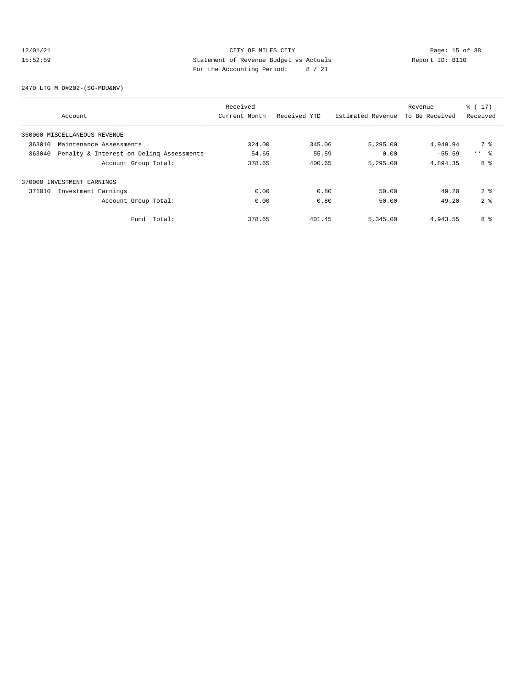## 12/01/21 CITY OF MILES CITY<br>15:52:59 Statement of Revenue Budget vs Actuals<br>15:52:59 Statement of Revenue Budget vs Actuals 15:52:59 Statement of Revenue Budget vs Actuals Report ID: B110 For the Accounting Period: 8 / 21

2470 LTG M D#202-(SG-MDU&NV)

|        | Account                                  | Received<br>Current Month | Received YTD | Estimated Revenue | Revenue<br>To Be Received | $\frac{1}{6}$ ( 17 )<br>Received |
|--------|------------------------------------------|---------------------------|--------------|-------------------|---------------------------|----------------------------------|
|        | 360000 MISCELLANEOUS REVENUE             |                           |              |                   |                           |                                  |
| 363010 | Maintenance Assessments                  | 324.00                    | 345.06       | 5,295.00          | 4,949.94                  | 7 %                              |
| 363040 | Penalty & Interest on Deling Assessments | 54.65                     | 55.59        | 0.00              | $-55.59$                  | $***$ 8                          |
|        | Account Group Total:                     | 378.65                    | 400.65       | 5,295.00          | 4,894.35                  | 8 %                              |
|        | 370000 INVESTMENT EARNINGS               |                           |              |                   |                           |                                  |
| 371010 | Investment Earnings                      | 0.00                      | 0.80         | 50.00             | 49.20                     | 2 <sup>8</sup>                   |
|        | Account Group Total:                     | 0.00                      | 0.80         | 50.00             | 49.20                     | 2 <sup>8</sup>                   |
|        | Total:<br>Fund                           | 378.65                    | 401.45       | 5,345.00          | 4,943.55                  | 8 %                              |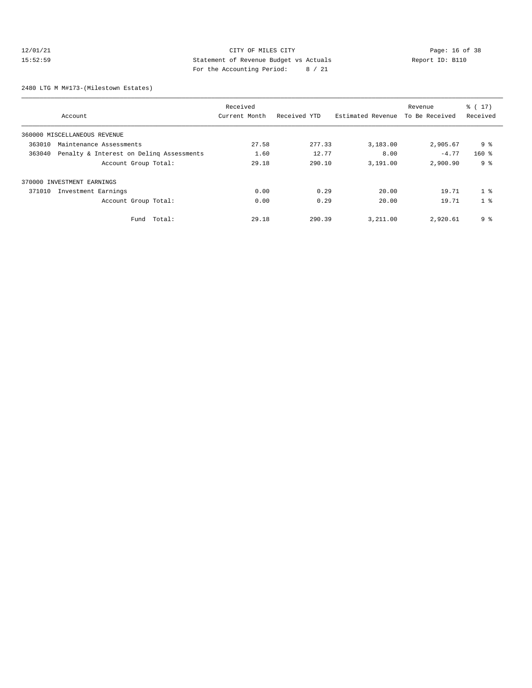## 12/01/21 CITY OF MILES CITY<br>15:52:59 Statement of Revenue Budget vs Actuals<br>15:52:59 Statement of Revenue Budget vs Actuals 15:52:59 Statement of Revenue Budget vs Actuals Report ID: B110 For the Accounting Period: 8 / 21

2480 LTG M M#173-(Milestown Estates)

|        | Account                                  | Received<br>Current Month | Received YTD | Estimated Revenue | Revenue<br>To Be Received | $\frac{1}{6}$ ( 17 )<br>Received |
|--------|------------------------------------------|---------------------------|--------------|-------------------|---------------------------|----------------------------------|
|        | 360000 MISCELLANEOUS REVENUE             |                           |              |                   |                           |                                  |
| 363010 | Maintenance Assessments                  | 27.58                     | 277.33       | 3,183.00          | 2,905.67                  | 9 <sub>8</sub>                   |
| 363040 | Penalty & Interest on Deling Assessments | 1.60                      | 12.77        | 8.00              | $-4.77$                   | $160$ %                          |
|        | Account Group Total:                     | 29.18                     | 290.10       | 3,191.00          | 2,900.90                  | 9 <sub>8</sub>                   |
|        | 370000 INVESTMENT EARNINGS               |                           |              |                   |                           |                                  |
| 371010 | Investment Earnings                      | 0.00                      | 0.29         | 20.00             | 19.71                     | 1 <sup>8</sup>                   |
|        | Account Group Total:                     | 0.00                      | 0.29         | 20.00             | 19.71                     | 1 <sup>8</sup>                   |
|        | Fund Total:                              | 29.18                     | 290.39       | 3,211.00          | 2,920.61                  | 9 <sub>8</sub>                   |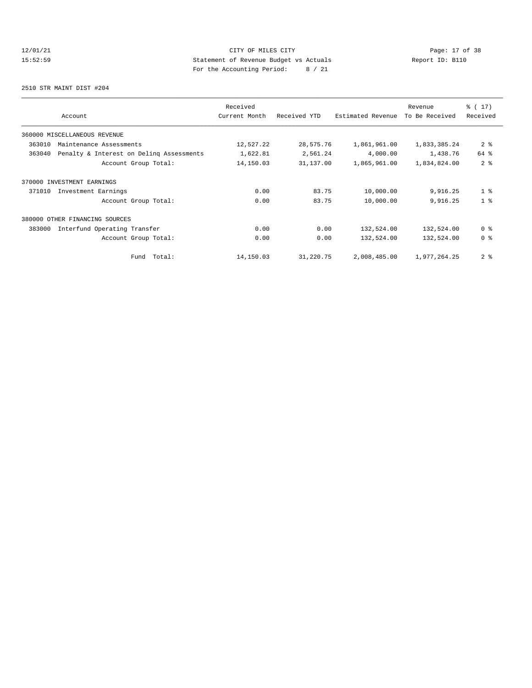## 12/01/21 Page: 17 of 38 CITY OF MILES CITY 15:52:59 Statement of Revenue Budget vs Actuals Report ID: B110 For the Accounting Period: 8 / 21

2510 STR MAINT DIST #204

| Account                                            | Received<br>Current Month | Received YTD | Estimated Revenue | Revenue<br>To Be Received | $\frac{1}{6}$ (17)<br>Received |
|----------------------------------------------------|---------------------------|--------------|-------------------|---------------------------|--------------------------------|
| 360000 MISCELLANEOUS REVENUE                       |                           |              |                   |                           |                                |
| 363010<br>Maintenance Assessments                  | 12,527.22                 | 28,575.76    | 1,861,961.00      | 1,833,385.24              | 2 <sub>8</sub>                 |
| 363040<br>Penalty & Interest on Deling Assessments | 1,622.81                  | 2,561.24     | 4,000.00          | 1,438.76                  | 64 %                           |
| Account Group Total:                               | 14,150.03                 | 31,137.00    | 1,865,961.00      | 1,834,824.00              | 2 <sup>8</sup>                 |
| 370000 INVESTMENT EARNINGS                         |                           |              |                   |                           |                                |
| 371010<br>Investment Earnings                      | 0.00                      | 83.75        | 10,000.00         | 9,916.25                  | 1 <sup>8</sup>                 |
| Account Group Total:                               | 0.00                      | 83.75        | 10,000.00         | 9,916.25                  | 1 <sup>8</sup>                 |
| 380000 OTHER FINANCING SOURCES                     |                           |              |                   |                           |                                |
| Interfund Operating Transfer<br>383000             | 0.00                      | 0.00         | 132,524.00        | 132,524.00                | 0 %                            |
| Account Group Total:                               | 0.00                      | 0.00         | 132,524.00        | 132,524.00                | 0 %                            |
| Total:<br>Fund                                     | 14,150.03                 | 31,220.75    | 2,008,485.00      | 1,977,264.25              | 2 <sub>8</sub>                 |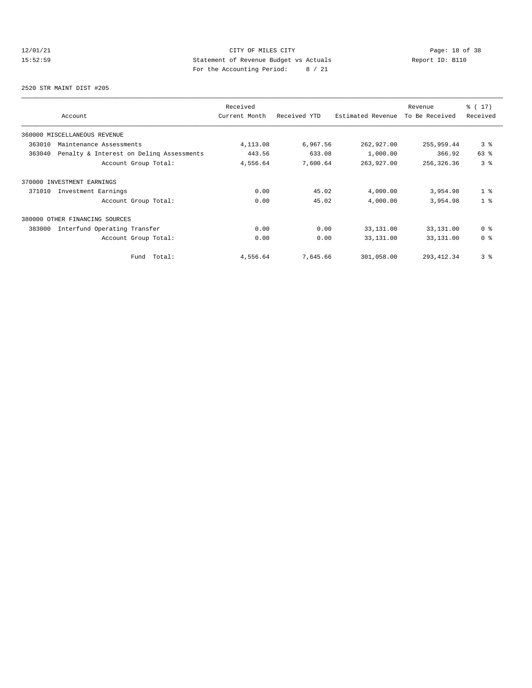## 12/01/21 CITY OF MILES CITY<br>15:52:59 Statement of Revenue Budget vs Actuals<br>15:52:59 Page: 18 of 38 15:52:59 Statement of Revenue Budget vs Actuals Report ID: B110 For the Accounting Period: 8 / 21

2520 STR MAINT DIST #205

| Account                                            | Received<br>Current Month | Received YTD | Estimated Revenue | Revenue<br>To Be Received | $\frac{1}{6}$ (17)<br>Received |
|----------------------------------------------------|---------------------------|--------------|-------------------|---------------------------|--------------------------------|
| 360000 MISCELLANEOUS REVENUE                       |                           |              |                   |                           |                                |
| 363010<br>Maintenance Assessments                  | 4, 113.08                 | 6,967.56     | 262,927.00        | 255,959.44                | 3 <sup>8</sup>                 |
| 363040<br>Penalty & Interest on Deling Assessments | 443.56                    | 633.08       | 1,000.00          | 366.92                    | 63%                            |
| Account Group Total:                               | 4,556.64                  | 7,600.64     | 263,927.00        | 256,326.36                | 3 <sup>8</sup>                 |
| 370000 INVESTMENT EARNINGS                         |                           |              |                   |                           |                                |
| 371010<br>Investment Earnings                      | 0.00                      | 45.02        | 4,000.00          | 3,954.98                  | 1 <sup>8</sup>                 |
| Account Group Total:                               | 0.00                      | 45.02        | 4,000.00          | 3,954.98                  | 1 <sup>8</sup>                 |
| 380000 OTHER FINANCING SOURCES                     |                           |              |                   |                           |                                |
| Interfund Operating Transfer<br>383000             | 0.00                      | 0.00         | 33,131.00         | 33,131.00                 | 0 %                            |
| Account Group Total:                               | 0.00                      | 0.00         | 33,131.00         | 33,131.00                 | 0 <sup>8</sup>                 |
| Fund Total:                                        | 4,556.64                  | 7,645.66     | 301,058.00        | 293, 412.34               | 3 <sup>8</sup>                 |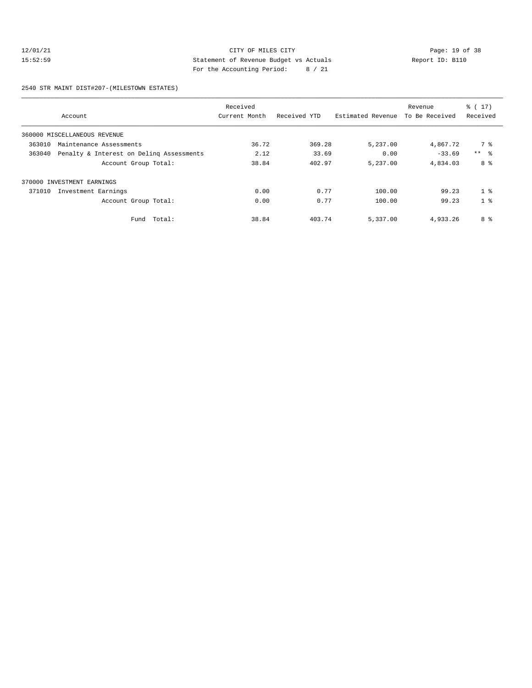## 12/01/21 Page: 19 of 38 CITY OF MILES CITY CHECK PAGE: 19 OF 38 15:52:59 Statement of Revenue Budget vs Actuals Report ID: B110 For the Accounting Period: 8 / 21

2540 STR MAINT DIST#207-(MILESTOWN ESTATES)

| Account                                            | Received<br>Current Month | Received YTD | Estimated Revenue | Revenue<br>To Be Received | $\frac{1}{6}$ (17)<br>Received |
|----------------------------------------------------|---------------------------|--------------|-------------------|---------------------------|--------------------------------|
| 360000 MISCELLANEOUS REVENUE                       |                           |              |                   |                           |                                |
| 363010<br>Maintenance Assessments                  | 36.72                     | 369.28       | 5,237.00          | 4,867.72                  | 7 %                            |
| 363040<br>Penalty & Interest on Deling Assessments | 2.12                      | 33.69        | 0.00              | $-33.69$                  | $***$ $\approx$                |
| Account Group Total:                               | 38.84                     | 402.97       | 5,237.00          | 4,834.03                  | 8 %                            |
| 370000 INVESTMENT EARNINGS                         |                           |              |                   |                           |                                |
| 371010<br>Investment Earnings                      | 0.00                      | 0.77         | 100.00            | 99.23                     | 1 <sup>8</sup>                 |
| Account Group Total:                               | 0.00                      | 0.77         | 100.00            | 99.23                     | 1 <sup>8</sup>                 |
| Fund Total:                                        | 38.84                     | 403.74       | 5,337.00          | 4,933.26                  | 8 %                            |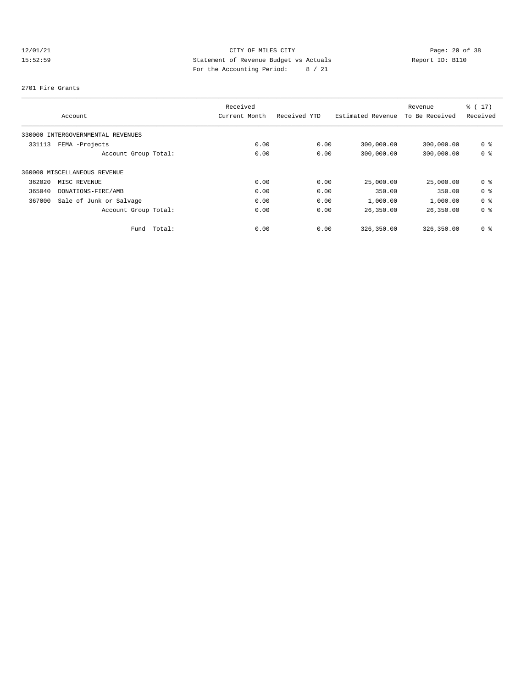## 12/01/21 Page: 20 of 38 15:52:59 Statement of Revenue Budget vs Actuals Report ID: B110 For the Accounting Period: 8 / 21

### 2701 Fire Grants

|        |                                   |        | Received      |              |                   | Revenue        | $\frac{1}{6}$ (17) |
|--------|-----------------------------------|--------|---------------|--------------|-------------------|----------------|--------------------|
|        | Account                           |        | Current Month | Received YTD | Estimated Revenue | To Be Received | Received           |
|        | 330000 INTERGOVERNMENTAL REVENUES |        |               |              |                   |                |                    |
| 331113 | FEMA -Projects                    |        | 0.00          | 0.00         | 300,000.00        | 300,000.00     | 0 %                |
|        | Account Group Total:              |        | 0.00          | 0.00         | 300,000.00        | 300,000.00     | 0 %                |
|        | 360000 MISCELLANEOUS REVENUE      |        |               |              |                   |                |                    |
| 362020 | MISC REVENUE                      |        | 0.00          | 0.00         | 25,000.00         | 25,000.00      | 0 %                |
| 365040 | DONATIONS-FIRE/AMB                |        | 0.00          | 0.00         | 350.00            | 350.00         | 0 %                |
| 367000 | Sale of Junk or Salvage           |        | 0.00          | 0.00         | 1,000.00          | 1,000.00       | 0 %                |
|        | Account Group Total:              |        | 0.00          | 0.00         | 26,350.00         | 26,350.00      | 0 %                |
|        | Fund                              | Total: | 0.00          | 0.00         | 326,350.00        | 326,350.00     | 0 %                |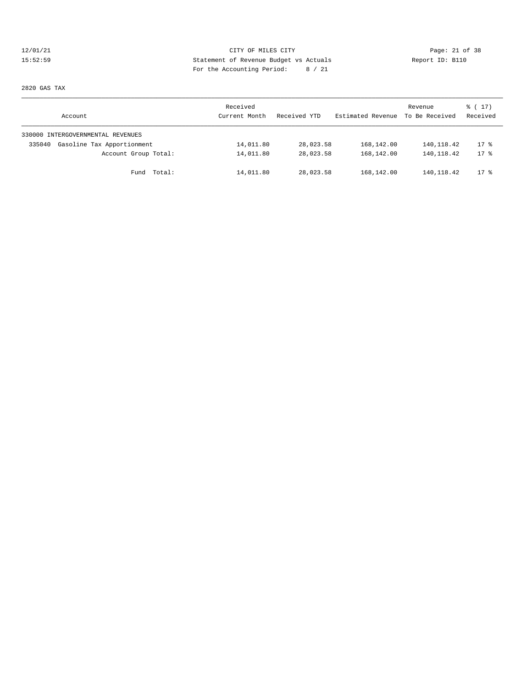## 12/01/21 CITY OF MILES CITY<br>15:52:59 Statement of Revenue Budget vs Actuals<br>15:52:59 Statement of Revenue Budget vs Actuals 15:52:59 Statement of Revenue Budget vs Actuals Report ID: B110 For the Accounting Period: 8 / 21

2820 GAS TAX

| Account                              | Received<br>Current Month | Received YTD | Estimated Revenue | Revenue<br>To Be Received | $\frac{1}{6}$ (17)<br>Received |
|--------------------------------------|---------------------------|--------------|-------------------|---------------------------|--------------------------------|
| 330000 INTERGOVERNMENTAL REVENUES    |                           |              |                   |                           |                                |
| Gasoline Tax Apportionment<br>335040 | 14,011.80                 | 28,023.58    | 168,142.00        | 140,118.42                | $17*$                          |
| Account Group Total:                 | 14,011.80                 | 28,023.58    | 168,142.00        | 140, 118.42               | $17*$                          |
| Fund Total:                          | 14,011.80                 | 28,023.58    | 168,142.00        | 140, 118.42               | $17*$                          |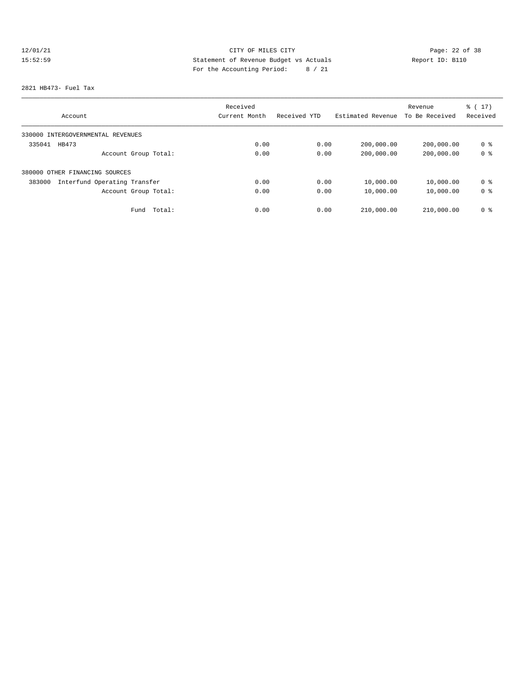# 12/01/21 Page: 22 of 38 15:52:59 Statement of Revenue Budget vs Actuals Report ID: B110 For the Accounting Period: 8 / 21

### 2821 HB473- Fuel Tax

|                                        | Received      |              |                   | Revenue        | $\frac{1}{6}$ (17) |
|----------------------------------------|---------------|--------------|-------------------|----------------|--------------------|
| Account                                | Current Month | Received YTD | Estimated Revenue | To Be Received | Received           |
| 330000 INTERGOVERNMENTAL REVENUES      |               |              |                   |                |                    |
| 335041<br>HB473                        | 0.00          | 0.00         | 200,000.00        | 200,000.00     | 0 %                |
| Account Group Total:                   | 0.00          | 0.00         | 200,000.00        | 200,000.00     | 0 <sup>8</sup>     |
| 380000 OTHER FINANCING SOURCES         |               |              |                   |                |                    |
| Interfund Operating Transfer<br>383000 | 0.00          | 0.00         | 10,000.00         | 10,000.00      | 0 %                |
| Account Group Total:                   | 0.00          | 0.00         | 10,000.00         | 10,000.00      | 0 %                |
| Fund<br>Total:                         | 0.00          | 0.00         | 210,000.00        | 210,000.00     | 0 %                |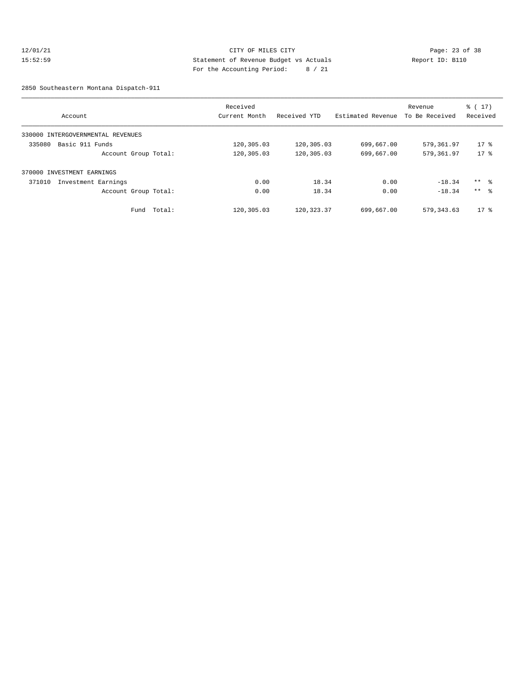## 12/01/21 Page: 23 of 38 15:52:59 Statement of Revenue Budget vs Actuals Report ID: B110 For the Accounting Period: 8 / 21

2850 Southeastern Montana Dispatch-911

| Account                           | Received<br>Current Month | Received YTD | Estimated Revenue | Revenue<br>To Be Received | $\frac{1}{6}$ ( 17 )<br>Received |
|-----------------------------------|---------------------------|--------------|-------------------|---------------------------|----------------------------------|
| 330000 INTERGOVERNMENTAL REVENUES |                           |              |                   |                           |                                  |
| 335080<br>Basic 911 Funds         | 120,305.03                | 120,305.03   | 699,667.00        | 579,361.97                | $17*$                            |
| Account Group Total:              | 120,305.03                | 120,305.03   | 699,667.00        | 579,361.97                | $17*$                            |
| 370000 INVESTMENT EARNINGS        |                           |              |                   |                           |                                  |
| 371010<br>Investment Earnings     | 0.00                      | 18.34        | 0.00              | $-18.34$                  | $***$ %                          |
| Account Group Total:              | 0.00                      | 18.34        | 0.00              | $-18.34$                  | $***$ $\approx$                  |
| Fund Total:                       | 120,305.03                | 120, 323.37  | 699,667.00        | 579, 343.63               | $17*$                            |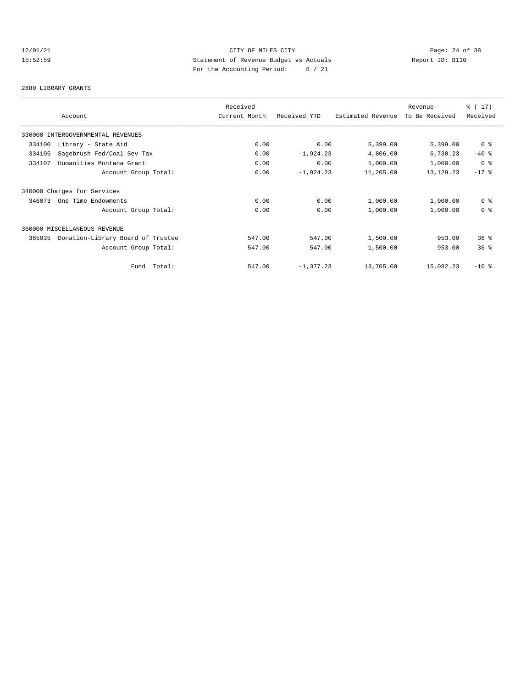## 12/01/21 Page: 24 of 38 15:52:59 Statement of Revenue Budget vs Actuals Report ID: B110 For the Accounting Period: 8 / 21

### 2880 LIBRARY GRANTS

|                                             |             | Received      |              |                   | Revenue        | $\frac{1}{6}$ (17) |
|---------------------------------------------|-------------|---------------|--------------|-------------------|----------------|--------------------|
| Account                                     |             | Current Month | Received YTD | Estimated Revenue | To Be Received | Received           |
| 330000 INTERGOVERNMENTAL REVENUES           |             |               |              |                   |                |                    |
| 334100<br>Library - State Aid               |             | 0.00          | 0.00         | 5,399.00          | 5,399.00       | 0 %                |
| 334105<br>Sagebrush Fed/Coal Sev Tax        |             | 0.00          | $-1,924.23$  | 4,806.00          | 6,730.23       | $-40$ %            |
| Humanities Montana Grant<br>334107          |             | 0.00          | 0.00         | 1,000.00          | 1,000.00       | 0 %                |
| Account Group Total:                        |             | 0.00          | $-1,924.23$  | 11,205.00         | 13, 129. 23    | $-17$ %            |
| 340000 Charges for Services                 |             |               |              |                   |                |                    |
| 346073<br>One Time Endowments               |             | 0.00          | 0.00         | 1,000.00          | 1,000.00       | 0 <sup>8</sup>     |
| Account Group Total:                        |             | 0.00          | 0.00         | 1,000.00          | 1,000.00       | 0 <sup>8</sup>     |
| 360000 MISCELLANEOUS REVENUE                |             |               |              |                   |                |                    |
| Donation-Library Board of Trustee<br>365035 |             | 547.00        | 547.00       | 1,500.00          | 953.00         | $36*$              |
| Account Group Total:                        |             | 547.00        | 547.00       | 1,500.00          | 953.00         | 36 <sup>8</sup>    |
|                                             | Fund Total: | 547.00        | $-1, 377.23$ | 13,705.00         | 15,082.23      | $-10$ %            |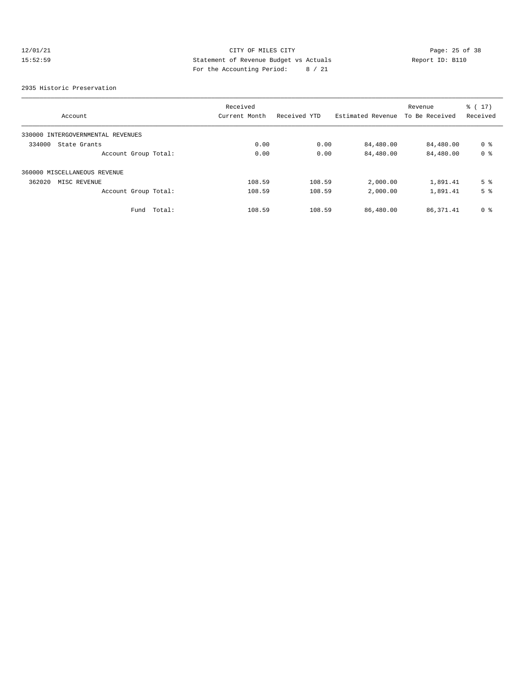## 12/01/21 Page: 25 of 38 15:52:59 Statement of Revenue Budget vs Actuals Report ID: B110 For the Accounting Period: 8 / 21

### 2935 Historic Preservation

|                                   | Received      |              |                   | Revenue        | $\frac{1}{6}$ (17) |
|-----------------------------------|---------------|--------------|-------------------|----------------|--------------------|
| Account                           | Current Month | Received YTD | Estimated Revenue | To Be Received | Received           |
| 330000 INTERGOVERNMENTAL REVENUES |               |              |                   |                |                    |
| 334000<br>State Grants            | 0.00          | 0.00         | 84,480.00         | 84,480.00      | 0 %                |
| Account Group Total:              | 0.00          | 0.00         | 84,480.00         | 84,480.00      | 0 <sup>8</sup>     |
| 360000 MISCELLANEOUS REVENUE      |               |              |                   |                |                    |
| 362020<br>MISC REVENUE            | 108.59        | 108.59       | 2,000.00          | 1,891.41       | 5 <sup>8</sup>     |
| Account Group Total:              | 108.59        | 108.59       | 2,000.00          | 1,891.41       | 5 <sup>°</sup>     |
| Total:<br>Fund                    | 108.59        | 108.59       | 86,480.00         | 86, 371.41     | 0 <sup>8</sup>     |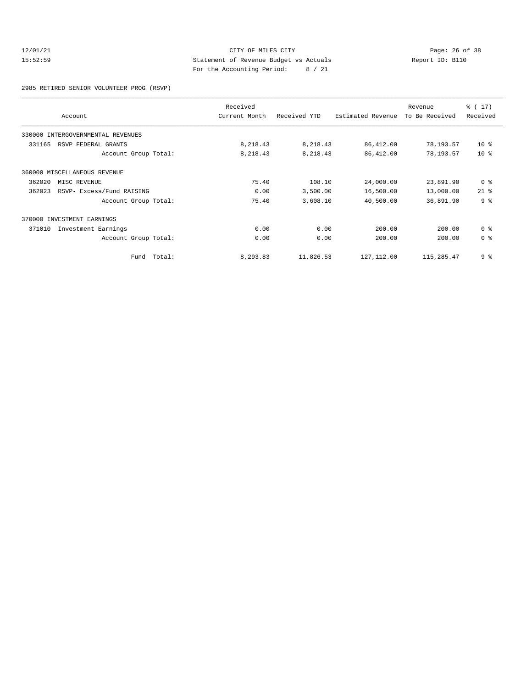## 12/01/21 Page: 26 of 38<br>15:52:59 Statement of Revenue Budget vs Actuals Report ID: B110<br>15:52:59 15:52:59 Statement of Revenue Budget vs Actuals Report ID: B110 For the Accounting Period: 8 / 21

#### 2985 RETIRED SENIOR VOLUNTEER PROG (RSVP)

| Account |                                   | Received<br>Current Month | Received YTD<br>Estimated Revenue |             | Revenue<br>To Be Received | $\frac{1}{6}$ (17)<br>Received |
|---------|-----------------------------------|---------------------------|-----------------------------------|-------------|---------------------------|--------------------------------|
|         | 330000 INTERGOVERNMENTAL REVENUES |                           |                                   |             |                           |                                |
| 331165  | RSVP FEDERAL GRANTS               | 8,218.43                  | 8,218.43                          | 86,412.00   | 78,193.57                 | $10*$                          |
|         | Account Group Total:              | 8,218.43                  | 8,218.43                          | 86,412.00   | 78,193.57                 | 10 <sup>8</sup>                |
|         | 360000 MISCELLANEOUS REVENUE      |                           |                                   |             |                           |                                |
| 362020  | MISC REVENUE                      | 75.40                     | 108.10                            | 24,000.00   | 23,891.90                 | 0 %                            |
| 362023  | RSVP- Excess/Fund RAISING         | 0.00                      | 3,500.00                          | 16,500.00   | 13,000.00                 | $21$ %                         |
|         | Account Group Total:              | 75.40                     | 3,608.10                          | 40,500.00   | 36,891.90                 | 9 <sup>8</sup>                 |
| 370000  | INVESTMENT EARNINGS               |                           |                                   |             |                           |                                |
| 371010  | Investment Earnings               | 0.00                      | 0.00                              | 200.00      | 200.00                    | 0 %                            |
|         | Account Group Total:              | 0.00                      | 0.00                              | 200.00      | 200.00                    | 0 %                            |
|         | Fund Total:                       | 8,293.83                  | 11,826.53                         | 127, 112.00 | 115,285.47                | 9 <sup>8</sup>                 |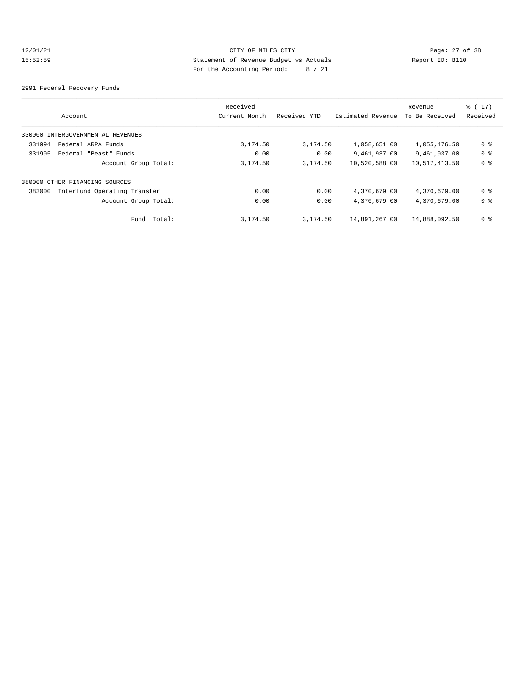## 12/01/21 Page: 27 of 38<br>15:52:59 Statement of Revenue Budget vs Actuals Report ID: B110<br>15:52:59 15:52:59 Statement of Revenue Budget vs Actuals Report ID: B110 For the Accounting Period: 8 / 21

2991 Federal Recovery Funds

|                                        |               | Received |              |                   | Revenue        | $\frac{1}{6}$ (17) |
|----------------------------------------|---------------|----------|--------------|-------------------|----------------|--------------------|
| Account                                | Current Month |          | Received YTD | Estimated Revenue | To Be Received | Received           |
| 330000 INTERGOVERNMENTAL REVENUES      |               |          |              |                   |                |                    |
| Federal ARPA Funds<br>331994           |               | 3,174.50 | 3,174.50     | 1,058,651.00      | 1,055,476.50   | 0 %                |
| 331995<br>Federal "Beast" Funds        |               | 0.00     | 0.00         | 9,461,937.00      | 9,461,937.00   | 0 %                |
| Account Group Total:                   |               | 3,174.50 | 3,174.50     | 10,520,588.00     | 10,517,413.50  | 0 %                |
| 380000 OTHER FINANCING SOURCES         |               |          |              |                   |                |                    |
| Interfund Operating Transfer<br>383000 |               | 0.00     | 0.00         | 4,370,679.00      | 4,370,679.00   | 0 %                |
| Account Group Total:                   |               | 0.00     | 0.00         | 4,370,679.00      | 4,370,679.00   | 0 %                |
| Fund Total:                            |               | 3,174.50 | 3,174.50     | 14,891,267.00     | 14,888,092.50  | 0 %                |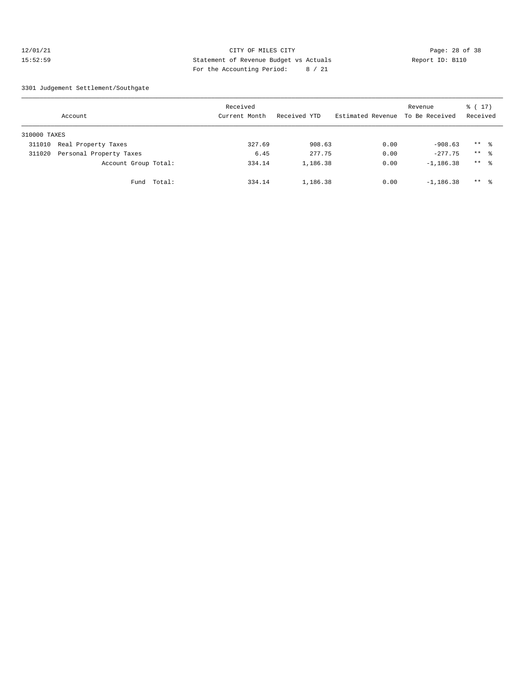## 12/01/21 Page: 28 of 38 15:52:59 Statement of Revenue Budget vs Actuals Report ID: B110 For the Accounting Period: 8 / 21

3301 Judgement Settlement/Southgate

| Account      |                         |        | Received<br>Current Month |        | Received YTD |          | Estimated Revenue | Revenue<br>To Be Received | $\frac{1}{6}$ (17)<br>Received |                     |  |
|--------------|-------------------------|--------|---------------------------|--------|--------------|----------|-------------------|---------------------------|--------------------------------|---------------------|--|
| 310000 TAXES |                         |        |                           |        |              |          |                   |                           |                                |                     |  |
| 311010       | Real Property Taxes     |        |                           | 327.69 |              | 908.63   |                   | 0.00                      | $-908.63$                      | $***$ $\frac{6}{6}$ |  |
| 311020       | Personal Property Taxes |        |                           | 6.45   |              | 277.75   |                   | 0.00                      | $-277.75$                      | $***$ 2             |  |
|              | Account Group Total:    |        |                           | 334.14 |              | 1,186.38 |                   | 0.00                      | $-1,186.38$                    | $***$ $\frac{6}{6}$ |  |
|              | Fund                    | Total: |                           | 334.14 |              | 1,186.38 |                   | 0.00                      | $-1,186.38$                    | $***$ $\frac{6}{6}$ |  |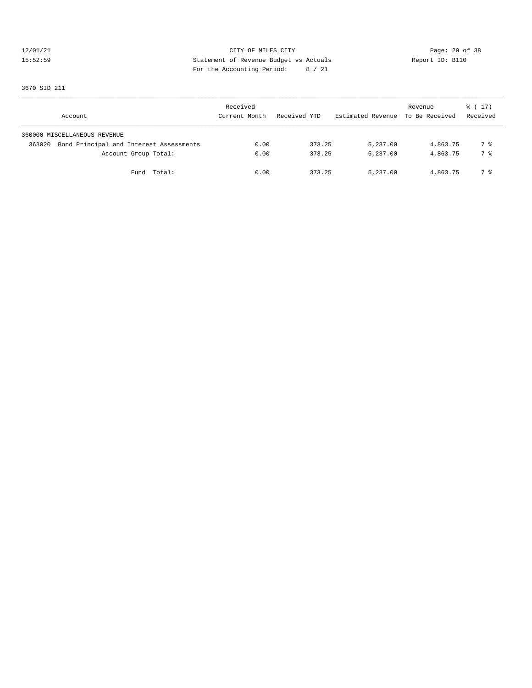## 12/01/21 Page: 29 of 38<br>15:52:59 Statement of Revenue Budget vs Actuals Report ID: B110<br>15:52:59 15:52:59 Statement of Revenue Budget vs Actuals Report ID: B110 For the Accounting Period: 8 / 21

3670 SID 211

| Account                                           | Received<br>Current Month | Received YTD | Estimated Revenue To Be Received | Revenue  | $\frac{1}{6}$ ( 17 )<br>Received |
|---------------------------------------------------|---------------------------|--------------|----------------------------------|----------|----------------------------------|
| 360000 MISCELLANEOUS REVENUE                      |                           |              |                                  |          |                                  |
| Bond Principal and Interest Assessments<br>363020 | 0.00                      | 373.25       | 5,237.00                         | 4,863.75 | 7 %                              |
| Account Group Total:                              | 0.00                      | 373.25       | 5,237.00                         | 4,863.75 | 7 %                              |
| Fund Total:                                       | 0.00                      | 373.25       | 5,237.00                         | 4,863.75 | 7 %                              |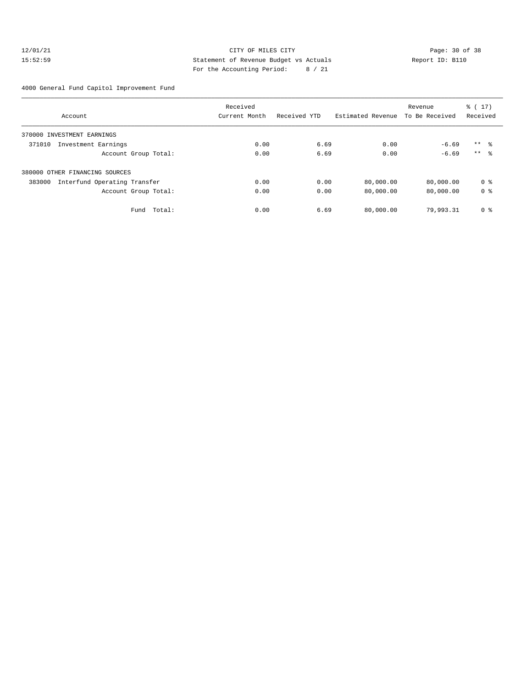## 12/01/21 Page: 30 of 38 CITY OF MILES CITY CHANGES CONTROL PAGE: 30 of 38 15:52:59 Statement of Revenue Budget vs Actuals Report ID: B110 For the Accounting Period: 8 / 21

4000 General Fund Capitol Improvement Fund

|                                        | Received      |              |                   | Revenue        | $\frac{1}{6}$ ( 17 ) |  |
|----------------------------------------|---------------|--------------|-------------------|----------------|----------------------|--|
| Account                                | Current Month | Received YTD | Estimated Revenue | To Be Received | Received             |  |
| 370000 INVESTMENT EARNINGS             |               |              |                   |                |                      |  |
| Investment Earnings<br>371010          | 0.00          | 6.69         | 0.00              | $-6.69$        | $***$ $\approx$      |  |
| Account Group Total:                   | 0.00          | 6.69         | 0.00              | $-6.69$        | $***$ $\approx$      |  |
| 380000 OTHER FINANCING SOURCES         |               |              |                   |                |                      |  |
| Interfund Operating Transfer<br>383000 | 0.00          | 0.00         | 80,000.00         | 80,000.00      | 0 <sup>8</sup>       |  |
| Account Group Total:                   | 0.00          | 0.00         | 80,000.00         | 80,000.00      | 0 <sup>8</sup>       |  |
| Fund Total:                            | 0.00          | 6.69         | 80,000.00         | 79,993.31      | 0 <sup>8</sup>       |  |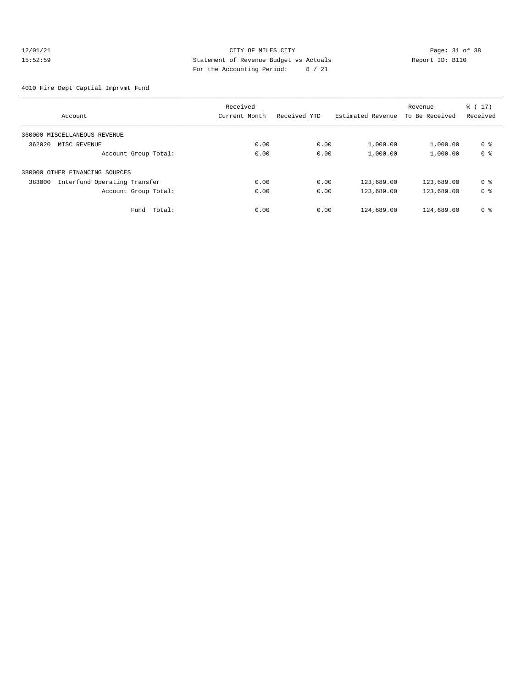## 12/01/21 Page: 31 of 38<br>15:52:59 Statement of Revenue Budget vs Actuals Report ID: B110<br>15:52:59 15:52:59 Statement of Revenue Budget vs Actuals Report ID: B110 For the Accounting Period: 8 / 21

4010 Fire Dept Captial Imprvmt Fund

|                                        | Received      |              |                   | Revenue        | $\frac{1}{6}$ ( 17 ) |
|----------------------------------------|---------------|--------------|-------------------|----------------|----------------------|
| Account                                | Current Month | Received YTD | Estimated Revenue | To Be Received | Received             |
| 360000 MISCELLANEOUS REVENUE           |               |              |                   |                |                      |
| 362020<br>MISC REVENUE                 | 0.00          | 0.00         | 1,000.00          | 1,000.00       | 0 <sup>8</sup>       |
| Account Group Total:                   | 0.00          | 0.00         | 1,000.00          | 1,000.00       | 0 <sup>8</sup>       |
| 380000 OTHER FINANCING SOURCES         |               |              |                   |                |                      |
| Interfund Operating Transfer<br>383000 | 0.00          | 0.00         | 123,689.00        | 123,689.00     | 0 <sup>8</sup>       |
| Account Group Total:                   | 0.00          | 0.00         | 123,689.00        | 123,689.00     | 0 <sup>8</sup>       |
| Fund Total:                            | 0.00          | 0.00         | 124,689.00        | 124,689.00     | 0 <sup>8</sup>       |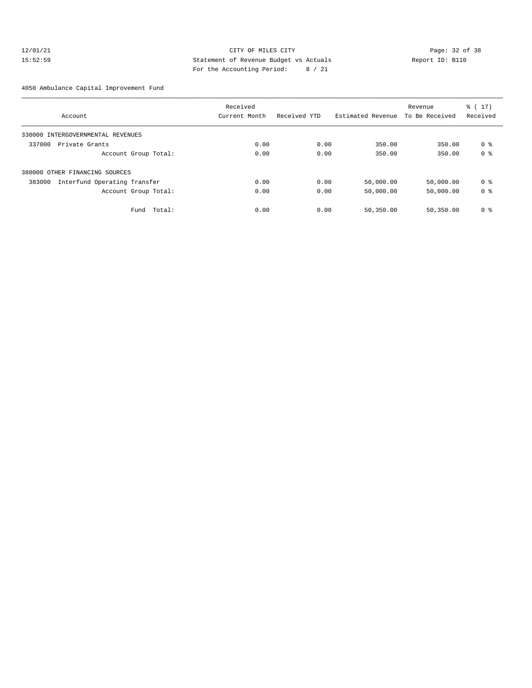## 12/01/21 Page: 32 of 38 15:52:59 Statement of Revenue Budget vs Actuals Report ID: B110 For the Accounting Period: 8 / 21

### 4050 Ambulance Capital Improvement Fund

|                                        | Received      |              |                   | Revenue        | $\frac{1}{6}$ (17) |  |
|----------------------------------------|---------------|--------------|-------------------|----------------|--------------------|--|
| Account                                | Current Month | Received YTD | Estimated Revenue | To Be Received | Received           |  |
| 330000 INTERGOVERNMENTAL REVENUES      |               |              |                   |                |                    |  |
| 337000<br>Private Grants               | 0.00          | 0.00         | 350.00            | 350.00         | 0 %                |  |
| Account Group Total:                   | 0.00          | 0.00         | 350.00            | 350.00         | 0 <sup>8</sup>     |  |
| 380000 OTHER FINANCING SOURCES         |               |              |                   |                |                    |  |
| Interfund Operating Transfer<br>383000 | 0.00          | 0.00         | 50,000.00         | 50,000.00      | 0 %                |  |
| Account Group Total:                   | 0.00          | 0.00         | 50,000.00         | 50,000.00      | 0 %                |  |
| Total:<br>Fund                         | 0.00          | 0.00         | 50,350.00         | 50,350.00      | 0 %                |  |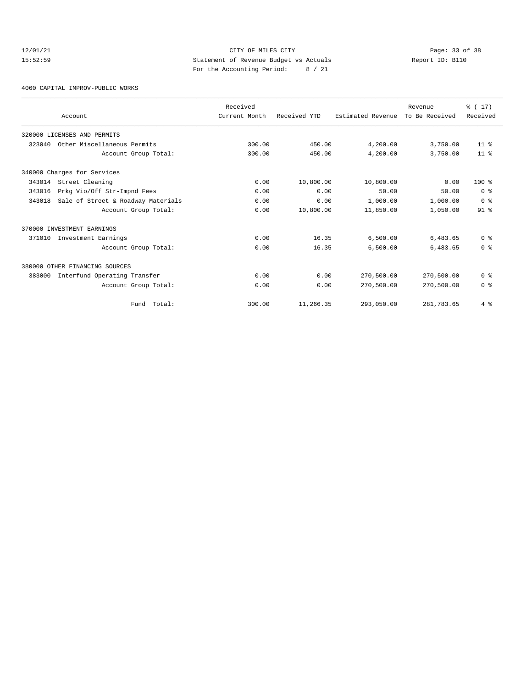## 12/01/21 Page: 33 of 38<br>15:52:59 Statement of Revenue Budget vs Actuals Report ID: B110<br>15:52:59 15:52:59 Statement of Revenue Budget vs Actuals Report ID: B110 For the Accounting Period: 8 / 21

4060 CAPITAL IMPROV-PUBLIC WORKS

|        | Account                            | Received<br>Current Month | Received YTD | Estimated Revenue | Revenue<br>To Be Received | % (17)<br>Received |
|--------|------------------------------------|---------------------------|--------------|-------------------|---------------------------|--------------------|
|        | 320000 LICENSES AND PERMITS        |                           |              |                   |                           |                    |
| 323040 | Other Miscellaneous Permits        | 300.00                    | 450.00       | 4,200.00          | 3,750.00                  | 11 <sup>°</sup>    |
|        | Account Group Total:               | 300.00                    | 450.00       | 4,200.00          | 3,750.00                  | 11 <sup>8</sup>    |
|        | 340000 Charges for Services        |                           |              |                   |                           |                    |
| 343014 | Street Cleaning                    | 0.00                      | 10,800.00    | 10,800.00         | 0.00                      | $100*$             |
| 343016 | Prkg Vio/Off Str-Impnd Fees        | 0.00                      | 0.00         | 50.00             | 50.00                     | 0 <sup>8</sup>     |
| 343018 | Sale of Street & Roadway Materials | 0.00                      | 0.00         | 1,000.00          | 1,000.00                  | 0 <sup>8</sup>     |
|        | Account Group Total:               | 0.00                      | 10,800.00    | 11,850.00         | 1,050.00                  | 91 <sup>°</sup>    |
|        | 370000 INVESTMENT EARNINGS         |                           |              |                   |                           |                    |
| 371010 | Investment Earnings                | 0.00                      | 16.35        | 6,500.00          | 6,483.65                  | 0 <sup>8</sup>     |
|        | Account Group Total:               | 0.00                      | 16.35        | 6,500.00          | 6,483.65                  | 0 <sup>8</sup>     |
|        | 380000 OTHER FINANCING SOURCES     |                           |              |                   |                           |                    |
| 383000 | Interfund Operating Transfer       | 0.00                      | 0.00         | 270,500.00        | 270,500.00                | 0 <sup>8</sup>     |
|        | Account Group Total:               | 0.00                      | 0.00         | 270,500.00        | 270,500.00                | 0 <sup>8</sup>     |
|        | Total:<br>Fund                     | 300.00                    | 11,266.35    | 293,050.00        | 281,783.65                | 4%                 |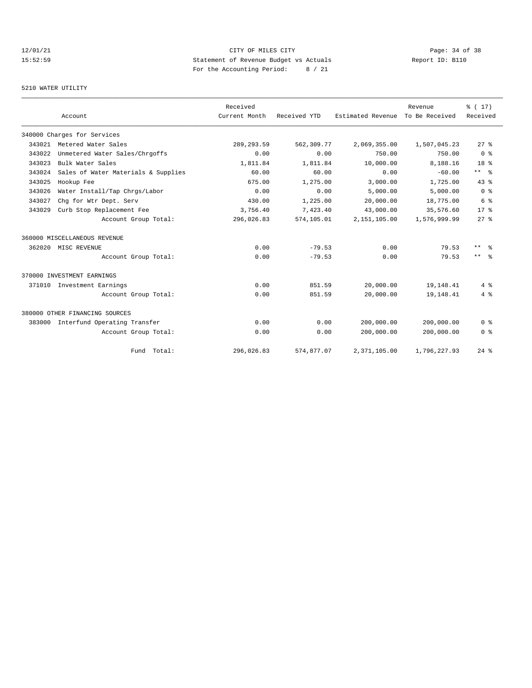# 12/01/21 Page: 34 of 38<br>15:52:59 Statement of Revenue Budget vs Actuals Report ID: B110<br>15:52:59 15:52:59 Statement of Revenue Budget vs Actuals Report ID: B110 For the Accounting Period: 8 / 21

## 5210 WATER UTILITY

|        | Account                             |                      | Received<br>Current Month | Received YTD | Estimated Revenue | Revenue<br>To Be Received | % (17)<br>Received      |
|--------|-------------------------------------|----------------------|---------------------------|--------------|-------------------|---------------------------|-------------------------|
|        |                                     |                      |                           |              |                   |                           |                         |
|        | 340000 Charges for Services         |                      |                           |              |                   |                           |                         |
| 343021 | Metered Water Sales                 |                      | 289, 293.59               | 562,309.77   | 2,069,355.00      | 1,507,045.23              | $27*$                   |
| 343022 | Unmetered Water Sales/Chrgoffs      |                      | 0.00                      | 0.00         | 750.00            | 750.00                    | 0 <sup>8</sup>          |
| 343023 | Bulk Water Sales                    |                      | 1,811.84                  | 1,811.84     | 10,000.00         | 8,188.16                  | 18 <sup>8</sup>         |
| 343024 | Sales of Water Materials & Supplies |                      | 60.00                     | 60.00        | 0.00              | $-60.00$                  | $***$ $=$               |
| 343025 | Hookup Fee                          |                      | 675.00                    | 1,275.00     | 3,000.00          | 1,725.00                  | 43.8                    |
| 343026 | Water Install/Tap Chrgs/Labor       |                      | 0.00                      | 0.00         | 5,000.00          | 5,000.00                  | $0 \text{ }$ $\text{ }$ |
| 343027 | Chq for Wtr Dept. Serv              |                      | 430.00                    | 1,225.00     | 20,000.00         | 18,775.00                 | 6 %                     |
| 343029 | Curb Stop Replacement Fee           |                      | 3,756.40                  | 7,423.40     | 43,000.00         | 35,576.60                 | $17*$                   |
|        |                                     | Account Group Total: | 296,026.83                | 574,105.01   | 2,151,105.00      | 1,576,999.99              | $27$ $%$                |
|        | 360000 MISCELLANEOUS REVENUE        |                      |                           |              |                   |                           |                         |
| 362020 | MISC REVENUE                        |                      | 0.00                      | $-79.53$     | 0.00              | 79.53                     | $***$ $=$               |
|        |                                     | Account Group Total: | 0.00                      | $-79.53$     | 0.00              | 79.53                     | $***$ $ -$              |
|        | 370000 INVESTMENT EARNINGS          |                      |                           |              |                   |                           |                         |
|        | 371010 Investment Earnings          |                      | 0.00                      | 851.59       | 20,000.00         | 19, 148. 41               | 4%                      |
|        |                                     | Account Group Total: | 0.00                      | 851.59       | 20,000.00         | 19,148.41                 | 4%                      |
|        | 380000 OTHER FINANCING SOURCES      |                      |                           |              |                   |                           |                         |
| 383000 | Interfund Operating Transfer        |                      | 0.00                      | 0.00         | 200,000.00        | 200,000.00                | 0 <sup>8</sup>          |
|        |                                     | Account Group Total: | 0.00                      | 0.00         | 200,000.00        | 200,000.00                | 0 <sup>8</sup>          |
|        |                                     | Fund Total:          | 296,026.83                | 574,877.07   | 2,371,105.00      | 1,796,227.93              | $24$ $%$                |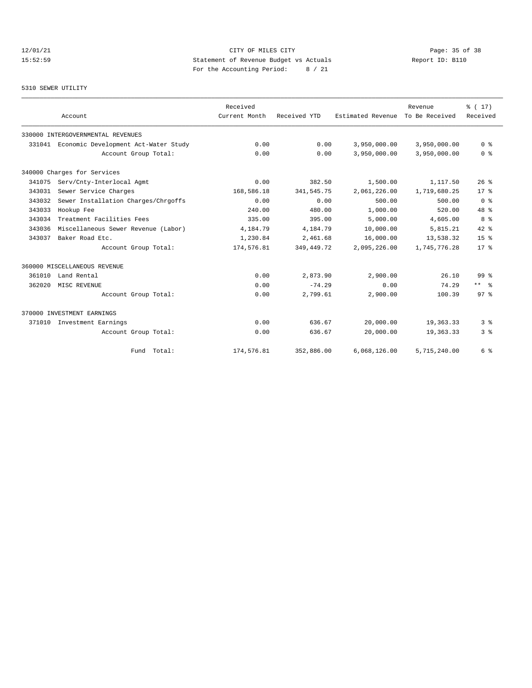## 12/01/21 Page: 35 of 38 15:52:59 Statement of Revenue Budget vs Actuals Report ID: B110 For the Accounting Period: 8 / 21

# 5310 SEWER UTILITY

|        | Account                                     | Received<br>Current Month | Received YTD | Estimated Revenue | Revenue<br>To Be Received | % (17)<br>Received |
|--------|---------------------------------------------|---------------------------|--------------|-------------------|---------------------------|--------------------|
|        | 330000 INTERGOVERNMENTAL REVENUES           |                           |              |                   |                           |                    |
|        | 331041 Economic Development Act-Water Study | 0.00                      | 0.00         | 3,950,000.00      | 3,950,000.00              | 0 <sup>8</sup>     |
|        | Account Group Total:                        | 0.00                      | 0.00         | 3,950,000.00      | 3,950,000.00              | 0 <sup>8</sup>     |
|        | 340000 Charges for Services                 |                           |              |                   |                           |                    |
| 341075 | Serv/Cnty-Interlocal Agmt                   | 0.00                      | 382.50       | 1,500.00          | 1,117.50                  | 26 <sup>8</sup>    |
| 343031 | Sewer Service Charges                       | 168,586.18                | 341,545.75   | 2,061,226.00      | 1,719,680.25              | $17*$              |
| 343032 | Sewer Installation Charges/Chrgoffs         | 0.00                      | 0.00         | 500.00            | 500.00                    | 0 <sup>8</sup>     |
| 343033 | Hookup Fee                                  | 240.00                    | 480.00       | 1,000.00          | 520.00                    | $48*$              |
| 343034 | Treatment Facilities Fees                   | 335.00                    | 395.00       | 5,000.00          | 4,605.00                  | 8 %                |
| 343036 | Miscellaneous Sewer Revenue (Labor)         | 4,184.79                  | 4,184.79     | 10,000.00         | 5,815.21                  | $42*$              |
| 343037 | Baker Road Etc.                             | 1,230.84                  | 2,461.68     | 16,000.00         | 13,538.32                 | 15 <sup>8</sup>    |
|        | Account Group Total:                        | 174,576.81                | 349,449.72   | 2,095,226.00      | 1,745,776.28              | $17*$              |
|        | 360000 MISCELLANEOUS REVENUE                |                           |              |                   |                           |                    |
| 361010 | Land Rental                                 | 0.00                      | 2,873.90     | 2,900.00          | 26.10                     | $99*$              |
| 362020 | MISC REVENUE                                | 0.00                      | $-74.29$     | 0.00              | 74.29                     | $***$ $=$          |
|        | Account Group Total:                        | 0.00                      | 2,799.61     | 2,900.00          | 100.39                    | $97*$              |
|        | 370000 INVESTMENT EARNINGS                  |                           |              |                   |                           |                    |
| 371010 | Investment Earnings                         | 0.00                      | 636.67       | 20,000.00         | 19,363.33                 | 3 <sup>8</sup>     |
|        | Account Group Total:                        | 0.00                      | 636.67       | 20,000.00         | 19,363.33                 | 3%                 |
|        | Fund Total:                                 | 174,576.81                | 352,886.00   | 6,068,126.00      | 5,715,240.00              | 6 %                |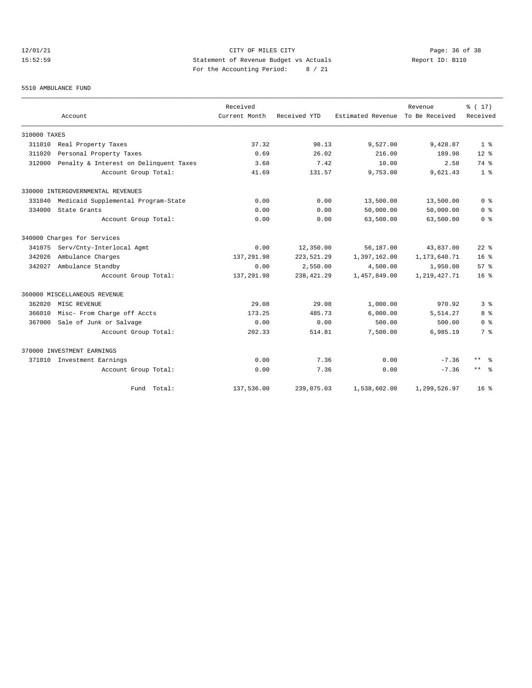## 12/01/21 Page: 36 of 38 15:52:59 Statement of Revenue Budget vs Actuals Report ID: B110 For the Accounting Period: 8 / 21

### 5510 AMBULANCE FUND

|              | Account                                | Received<br>Current Month | Received YTD | Estimated Revenue | Revenue<br>To Be Received | % (17)<br>Received      |  |
|--------------|----------------------------------------|---------------------------|--------------|-------------------|---------------------------|-------------------------|--|
| 310000 TAXES |                                        |                           |              |                   |                           |                         |  |
| 311010       | Real Property Taxes                    | 37.32                     | 98.13        | 9,527.00          | 9,428.87                  | 1 <sup>8</sup>          |  |
| 311020       | Personal Property Taxes                | 0.69                      | 26.02        | 216.00            | 189.98                    | $12*$                   |  |
| 312000       | Penalty & Interest on Delinquent Taxes | 3.68                      | 7.42         | 10.00             | 2.58                      | 74 %                    |  |
|              | Account Group Total:                   | 41.69                     | 131.57       | 9,753.00          | 9,621.43                  | 1 <sup>8</sup>          |  |
|              | 330000 INTERGOVERNMENTAL REVENUES      |                           |              |                   |                           |                         |  |
| 331040       | Medicaid Supplemental Program-State    | 0.00                      | 0.00         | 13,500.00         | 13,500.00                 | 0 <sup>8</sup>          |  |
| 334000       | State Grants                           | 0.00                      | 0.00         | 50,000.00         | 50,000.00                 | 0 <sup>8</sup>          |  |
|              | Account Group Total:                   | 0.00                      | 0.00         | 63,500.00         | 63,500.00                 | 0 <sup>8</sup>          |  |
|              | 340000 Charges for Services            |                           |              |                   |                           |                         |  |
| 341075       | Serv/Cnty-Interlocal Agmt              | 0.00                      | 12,350.00    | 56,187.00         | 43,837.00                 | $22*$                   |  |
| 342026       | Ambulance Charges                      | 137, 291.98               | 223,521.29   | 1,397,162.00      | 1, 173, 640. 71           | 16 <sup>8</sup>         |  |
| 342027       | Ambulance Standby                      | 0.00                      | 2,550.00     | 4,500.00          | 1,950.00                  | 57%                     |  |
|              | Account Group Total:                   | 137, 291.98               | 238, 421.29  | 1,457,849.00      | 1, 219, 427. 71           | 16 <sup>8</sup>         |  |
|              | 360000 MISCELLANEOUS REVENUE           |                           |              |                   |                           |                         |  |
| 362020       | MISC REVENUE                           | 29.08                     | 29.08        | 1,000.00          | 970.92                    | 3 <sup>8</sup>          |  |
| 366010       | Misc- From Charge off Accts            | 173.25                    | 485.73       | 6,000.00          | 5,514.27                  | 8 %                     |  |
| 367000       | Sale of Junk or Salvage                | 0.00                      | 0.00         | 500.00            | 500.00                    | 0 <sup>8</sup>          |  |
|              | Account Group Total:                   | 202.33                    | 514.81       | 7,500.00          | 6,985.19                  | 7 %                     |  |
|              | 370000 INVESTMENT EARNINGS             |                           |              |                   |                           |                         |  |
| 371010       | Investment Earnings                    | 0.00                      | 7.36         | 0.00              | $-7.36$                   | $***$ $=$ $\frac{6}{5}$ |  |
|              | Account Group Total:                   | 0.00                      | 7.36         | 0.00              | $-7.36$                   | $***$ $ -$              |  |
|              | Fund Total:                            | 137,536.00                | 239,075.03   | 1,538,602.00      | 1,299,526.97              | $16*$                   |  |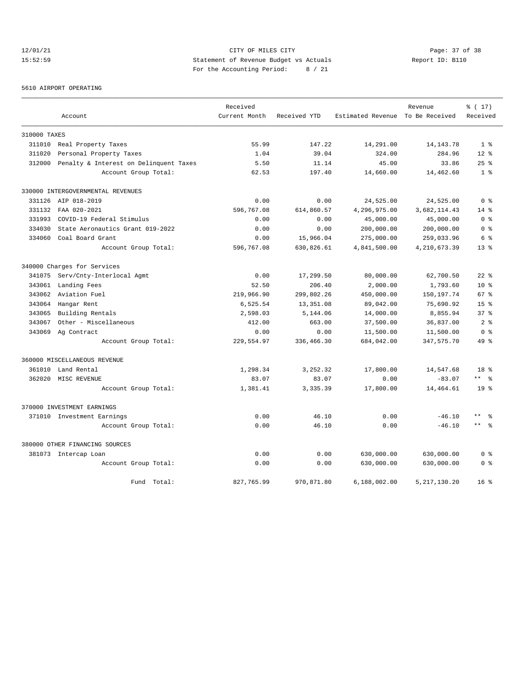## 12/01/21 CITY OF MILES CITY CHEREN CITY CHEREN Page: 37 of 38 CITY CHEREN CITY OF MILES CITY CHEREN PAGES 2:59 15:52:59 Statement of Revenue Budget vs Actuals Report ID: B110 For the Accounting Period: 8 / 21

5610 AIRPORT OPERATING

|              |                                        | Received      |              | Estimated Revenue To Be Received | Revenue        | $\frac{1}{6}$ (17)<br>Received |
|--------------|----------------------------------------|---------------|--------------|----------------------------------|----------------|--------------------------------|
|              | Account                                | Current Month | Received YTD |                                  |                |                                |
| 310000 TAXES |                                        |               |              |                                  |                |                                |
| 311010       | Real Property Taxes                    | 55.99         | 147.22       | 14,291.00                        | 14, 143, 78    | 1 <sup>8</sup>                 |
| 311020       | Personal Property Taxes                | 1.04          | 39.04        | 324.00                           | 284.96         | $12*$                          |
| 312000       | Penalty & Interest on Delinquent Taxes | 5.50          | 11.14        | 45.00                            | 33.86          | 25%                            |
|              | Account Group Total:                   | 62.53         | 197.40       | 14,660.00                        | 14,462.60      | 1 <sup>8</sup>                 |
|              | 330000 INTERGOVERNMENTAL REVENUES      |               |              |                                  |                |                                |
| 331126       | AIP 018-2019                           | 0.00          | 0.00         | 24,525.00                        | 24,525.00      | 0 <sup>8</sup>                 |
| 331132       | FAA 020-2021                           | 596,767.08    | 614,860.57   | 4,296,975.00                     | 3,682,114.43   | $14*$                          |
| 331993       | COVID-19 Federal Stimulus              | 0.00          | 0.00         | 45,000.00                        | 45,000.00      | 0 <sup>8</sup>                 |
| 334030       | State Aeronautics Grant 019-2022       | 0.00          | 0.00         | 200,000.00                       | 200,000.00     | 0 <sup>8</sup>                 |
| 334060       | Coal Board Grant                       | 0.00          | 15,966.04    | 275,000.00                       | 259,033.96     | 6 %                            |
|              | Account Group Total:                   | 596,767.08    | 630,826.61   | 4,841,500.00                     | 4, 210, 673.39 | $13*$                          |
|              | 340000 Charges for Services            |               |              |                                  |                |                                |
| 341075       | Serv/Cnty-Interlocal Agmt              | 0.00          | 17,299.50    | 80,000.00                        | 62,700.50      | $22$ $%$                       |
| 343061       | Landing Fees                           | 52.50         | 206.40       | 2,000.00                         | 1,793.60       | 10 <sup>8</sup>                |
| 343062       | Aviation Fuel                          | 219,966.90    | 299,802.26   | 450,000.00                       | 150,197.74     | 67 <sup>8</sup>                |
| 343064       | Hangar Rent                            | 6,525.54      | 13,351.08    | 89,042.00                        | 75,690.92      | $15*$                          |
| 343065       | Building Rentals                       | 2,598.03      | 5,144.06     | 14,000.00                        | 8,855.94       | $37*$                          |
| 343067       | Other - Miscellaneous                  | 412.00        | 663.00       | 37,500.00                        | 36,837.00      | 2.8                            |
| 343069       | Ag Contract                            | 0.00          | 0.00         | 11,500.00                        | 11,500.00      | 0 <sup>8</sup>                 |
|              | Account Group Total:                   | 229,554.97    | 336,466.30   | 684,042.00                       | 347,575.70     | 49 %                           |
|              | 360000 MISCELLANEOUS REVENUE           |               |              |                                  |                |                                |
| 361010       | Land Rental                            | 1,298.34      | 3,252.32     | 17,800.00                        | 14,547.68      | 18 <sup>8</sup>                |
| 362020       | MISC REVENUE                           | 83.07         | 83.07        | 0.00                             | $-83.07$       | $***$ $=$ $\frac{6}{5}$        |
|              | Account Group Total:                   | 1,381.41      | 3,335.39     | 17,800.00                        | 14,464.61      | 19 <sup>°</sup>                |
|              | 370000 INVESTMENT EARNINGS             |               |              |                                  |                |                                |
|              | 371010 Investment Earnings             | 0.00          | 46.10        | 0.00                             | $-46.10$       | $\star\star$                   |
|              | Account Group Total:                   | 0.00          | 46.10        | 0.00                             | $-46.10$       | $***$ $%$                      |
|              | 380000 OTHER FINANCING SOURCES         |               |              |                                  |                |                                |
|              | 381073 Intercap Loan                   | 0.00          | 0.00         | 630,000.00                       | 630,000.00     | 0 <sup>8</sup>                 |
|              | Account Group Total:                   | 0.00          | 0.00         | 630,000.00                       | 630,000.00     | 0 <sup>8</sup>                 |
|              | Fund Total:                            | 827,765.99    | 970,871.80   | 6.188.002.00                     | 5, 217, 130.20 | 16 <sup>8</sup>                |